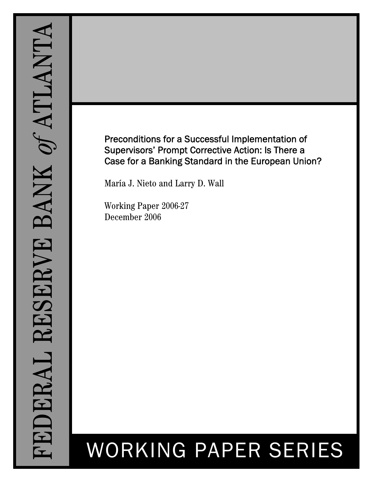# Preconditions for a Successful Implementation of Supervisors' Prompt Corrective Action: Is There a Case for a Banking Standard in the European Union?

María J. Nieto and Larry D. Wall

Working Paper 2006-27 December 2006

# WORKING PAPER SERIES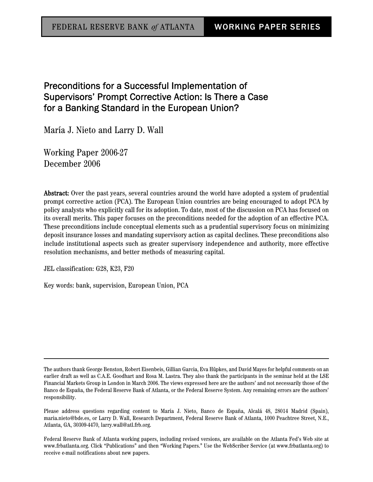# Preconditions for a Successful Implementation of Supervisors' Prompt Corrective Action: Is There a Case for a Banking Standard in the European Union?

María J. Nieto and Larry D. Wall

Working Paper 2006-27 December 2006

Abstract: Over the past years, several countries around the world have adopted a system of prudential prompt corrective action (PCA). The European Union countries are being encouraged to adopt PCA by policy analysts who explicitly call for its adoption. To date, most of the discussion on PCA has focused on its overall merits. This paper focuses on the preconditions needed for the adoption of an effective PCA. These preconditions include conceptual elements such as a prudential supervisory focus on minimizing deposit insurance losses and mandating supervisory action as capital declines. These preconditions also include institutional aspects such as greater supervisory independence and authority, more effective resolution mechanisms, and better methods of measuring capital.

JEL classification: G28, K23, F20

Key words: bank, supervision, European Union, PCA

The authors thank George Benston, Robert Eisenbeis, Gillian Garcia, Eva Hüpkes, and David Mayes for helpful comments on an earlier draft as well as C.A.E. Goodhart and Rosa M. Lastra. They also thank the participants in the seminar held at the LSE Financial Markets Group in London in March 2006. The views expressed here are the authors' and not necessarily those of the Banco de España, the Federal Reserve Bank of Atlanta, or the Federal Reserve System. Any remaining errors are the authors' responsibility.

Please address questions regarding content to María J. Nieto, Banco de España, Alcalá 48, 28014 Madrid (Spain), maria.nieto@bde.es, or Larry D. Wall, Research Department, Federal Reserve Bank of Atlanta, 1000 Peachtree Street, N.E., Atlanta, GA, 30309-4470, larry.wall@atl.frb.org.

Federal Reserve Bank of Atlanta working papers, including revised versions, are available on the Atlanta Fed's Web site at www.frbatlanta.org. Click "Publications" and then "Working Papers." Use the WebScriber Service (at www.frbatlanta.org) to receive e-mail notifications about new papers.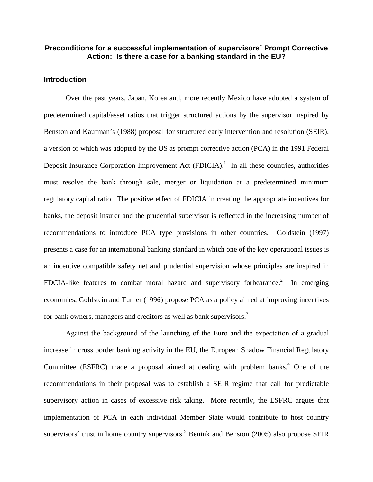# **Preconditions for a successful implementation of supervisors´ Prompt Corrective Action: Is there a case for a banking standard in the EU?**

#### **Introduction**

 Over the past years, Japan, Korea and, more recently Mexico have adopted a system of predetermined capital/asset ratios that trigger structured actions by the supervisor inspired by Benston and Kaufman's (1988) proposal for structured early intervention and resolution (SEIR), a version of which was adopted by the US as prompt corrective action (PCA) in the 1991 Federal Deposit Insurance Corporation Improvement Act  $(FDICIA)^1$  In all these countries, authorities must resolve the bank through sale, merger or liquidation at a predetermined minimum regulatory capital ratio. The positive effect of FDICIA in creating the appropriate incentives for banks, the deposit insurer and the prudential supervisor is reflected in the increasing number of recommendations to introduce PCA type provisions in other countries. Goldstein (1997) presents a case for an international banking standard in which one of the key operational issues is an incentive compatible safety net and prudential supervision whose principles are inspired in FDCIA-like features to combat moral hazard and supervisory forbearance.<sup>2</sup> In emerging economies, Goldstein and Turner (1996) propose PCA as a policy aimed at improving incentives for bank owners, managers and creditors as well as bank supervisors.<sup>3</sup>

Against the background of the launching of the Euro and the expectation of a gradual increase in cross border banking activity in the EU, the European Shadow Financial Regulatory Committee (ESFRC) made a proposal aimed at dealing with problem banks. $4$  One of the recommendations in their proposal was to establish a SEIR regime that call for predictable supervisory action in cases of excessive risk taking. More recently, the ESFRC argues that implementation of PCA in each individual Member State would contribute to host country supervisors $\acute{\ }$  trust in home country supervisors.<sup>5</sup> Benink and Benston (2005) also propose SEIR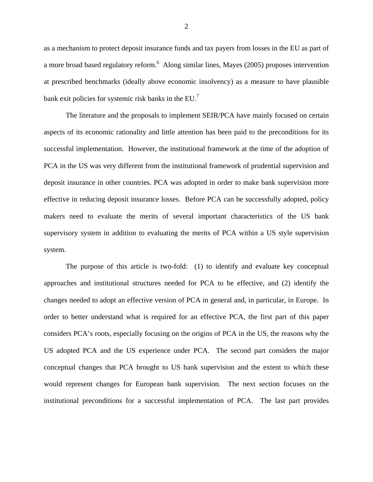as a mechanism to protect deposit insurance funds and tax payers from losses in the EU as part of a more broad based regulatory reform.<sup>6</sup> Along similar lines, Mayes (2005) proposes intervention at prescribed benchmarks (ideally above economic insolvency) as a measure to have plausible bank exit policies for systemic risk banks in the  $EU^7$ .

 The literature and the proposals to implement SEIR/PCA have mainly focused on certain aspects of its economic rationality and little attention has been paid to the preconditions for its successful implementation. However, the institutional framework at the time of the adoption of PCA in the US was very different from the institutional framework of prudential supervision and deposit insurance in other countries. PCA was adopted in order to make bank supervision more effective in reducing deposit insurance losses. Before PCA can be successfully adopted, policy makers need to evaluate the merits of several important characteristics of the US bank supervisory system in addition to evaluating the merits of PCA within a US style supervision system.

 The purpose of this article is two-fold: (1) to identify and evaluate key conceptual approaches and institutional structures needed for PCA to be effective, and (2) identify the changes needed to adopt an effective version of PCA in general and, in particular, in Europe. In order to better understand what is required for an effective PCA, the first part of this paper considers PCA's roots, especially focusing on the origins of PCA in the US, the reasons why the US adopted PCA and the US experience under PCA. The second part considers the major conceptual changes that PCA brought to US bank supervision and the extent to which these would represent changes for European bank supervision. The next section focuses on the institutional preconditions for a successful implementation of PCA. The last part provides

2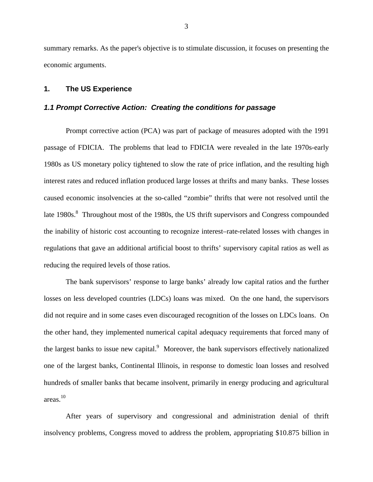summary remarks. As the paper's objective is to stimulate discussion, it focuses on presenting the economic arguments.

#### **1. The US Experience**

#### *1.1 Prompt Corrective Action: Creating the conditions for passage*

 Prompt corrective action (PCA) was part of package of measures adopted with the 1991 passage of FDICIA. The problems that lead to FDICIA were revealed in the late 1970s-early 1980s as US monetary policy tightened to slow the rate of price inflation, and the resulting high interest rates and reduced inflation produced large losses at thrifts and many banks. These losses caused economic insolvencies at the so-called "zombie" thrifts that were not resolved until the late  $1980s$ .<sup>8</sup> Throughout most of the 1980s, the US thrift supervisors and Congress compounded the inability of historic cost accounting to recognize interest–rate-related losses with changes in regulations that gave an additional artificial boost to thrifts' supervisory capital ratios as well as reducing the required levels of those ratios.

 The bank supervisors' response to large banks' already low capital ratios and the further losses on less developed countries (LDCs) loans was mixed. On the one hand, the supervisors did not require and in some cases even discouraged recognition of the losses on LDCs loans. On the other hand, they implemented numerical capital adequacy requirements that forced many of the largest banks to issue new capital. Moreover, the bank supervisors effectively nationalized one of the largest banks, Continental Illinois, in response to domestic loan losses and resolved hundreds of smaller banks that became insolvent, primarily in energy producing and agricultural areas.10

 After years of supervisory and congressional and administration denial of thrift insolvency problems, Congress moved to address the problem, appropriating \$10.875 billion in

3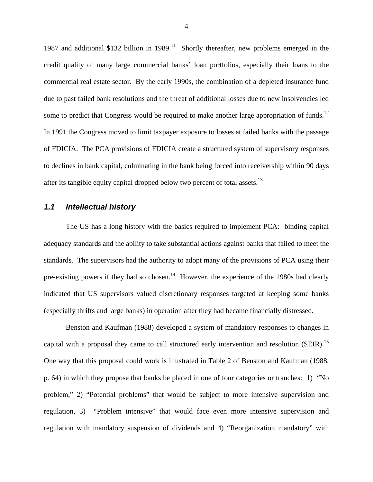1987 and additional \$132 billion in 1989.<sup>11</sup> Shortly thereafter, new problems emerged in the credit quality of many large commercial banks' loan portfolios, especially their loans to the commercial real estate sector. By the early 1990s, the combination of a depleted insurance fund due to past failed bank resolutions and the threat of additional losses due to new insolvencies led some to predict that Congress would be required to make another large appropriation of funds.<sup>12</sup> In 1991 the Congress moved to limit taxpayer exposure to losses at failed banks with the passage of FDICIA. The PCA provisions of FDICIA create a structured system of supervisory responses to declines in bank capital, culminating in the bank being forced into receivership within 90 days after its tangible equity capital dropped below two percent of total assets.<sup>13</sup>

#### *1.1 Intellectual history*

The US has a long history with the basics required to implement PCA: binding capital adequacy standards and the ability to take substantial actions against banks that failed to meet the standards. The supervisors had the authority to adopt many of the provisions of PCA using their pre-existing powers if they had so chosen.<sup>14</sup> However, the experience of the 1980s had clearly indicated that US supervisors valued discretionary responses targeted at keeping some banks (especially thrifts and large banks) in operation after they had became financially distressed.

 Benston and Kaufman (1988) developed a system of mandatory responses to changes in capital with a proposal they came to call structured early intervention and resolution (SEIR).<sup>15</sup> One way that this proposal could work is illustrated in Table 2 of Benston and Kaufman (1988, p. 64) in which they propose that banks be placed in one of four categories or tranches: 1) "No problem," 2) "Potential problems" that would be subject to more intensive supervision and regulation, 3) "Problem intensive" that would face even more intensive supervision and regulation with mandatory suspension of dividends and 4) "Reorganization mandatory" with

4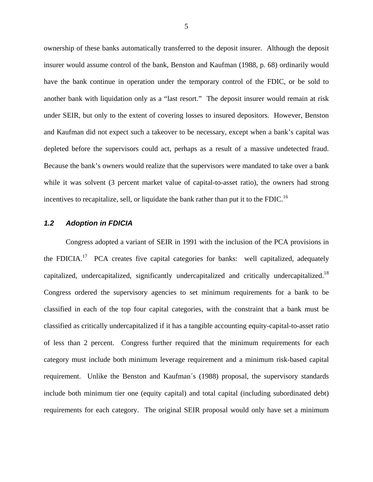ownership of these banks automatically transferred to the deposit insurer. Although the deposit insurer would assume control of the bank, Benston and Kaufman (1988, p. 68) ordinarily would have the bank continue in operation under the temporary control of the FDIC, or be sold to another bank with liquidation only as a "last resort." The deposit insurer would remain at risk under SEIR, but only to the extent of covering losses to insured depositors. However, Benston and Kaufman did not expect such a takeover to be necessary, except when a bank's capital was depleted before the supervisors could act, perhaps as a result of a massive undetected fraud. Because the bank's owners would realize that the supervisors were mandated to take over a bank while it was solvent (3 percent market value of capital-to-asset ratio), the owners had strong incentives to recapitalize, sell, or liquidate the bank rather than put it to the FDIC.<sup>16</sup>

#### *1.2 Adoption in FDICIA*

 Congress adopted a variant of SEIR in 1991 with the inclusion of the PCA provisions in the FDICIA.<sup>17</sup> PCA creates five capital categories for banks: well capitalized, adequately capitalized, undercapitalized, significantly undercapitalized and critically undercapitalized.<sup>18</sup> Congress ordered the supervisory agencies to set minimum requirements for a bank to be classified in each of the top four capital categories, with the constraint that a bank must be classified as critically undercapitalized if it has a tangible accounting equity-capital-to-asset ratio of less than 2 percent. Congress further required that the minimum requirements for each category must include both minimum leverage requirement and a minimum risk-based capital requirement. Unlike the Benston and Kaufman´s (1988) proposal, the supervisory standards include both minimum tier one (equity capital) and total capital (including subordinated debt) requirements for each category. The original SEIR proposal would only have set a minimum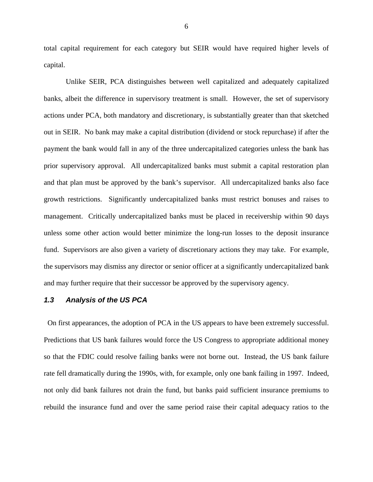total capital requirement for each category but SEIR would have required higher levels of capital.

 Unlike SEIR, PCA distinguishes between well capitalized and adequately capitalized banks, albeit the difference in supervisory treatment is small. However, the set of supervisory actions under PCA, both mandatory and discretionary, is substantially greater than that sketched out in SEIR. No bank may make a capital distribution (dividend or stock repurchase) if after the payment the bank would fall in any of the three undercapitalized categories unless the bank has prior supervisory approval. All undercapitalized banks must submit a capital restoration plan and that plan must be approved by the bank's supervisor. All undercapitalized banks also face growth restrictions. Significantly undercapitalized banks must restrict bonuses and raises to management. Critically undercapitalized banks must be placed in receivership within 90 days unless some other action would better minimize the long-run losses to the deposit insurance fund. Supervisors are also given a variety of discretionary actions they may take. For example, the supervisors may dismiss any director or senior officer at a significantly undercapitalized bank and may further require that their successor be approved by the supervisory agency.

## *1.3 Analysis of the US PCA*

 On first appearances, the adoption of PCA in the US appears to have been extremely successful. Predictions that US bank failures would force the US Congress to appropriate additional money so that the FDIC could resolve failing banks were not borne out. Instead, the US bank failure rate fell dramatically during the 1990s, with, for example, only one bank failing in 1997. Indeed, not only did bank failures not drain the fund, but banks paid sufficient insurance premiums to rebuild the insurance fund and over the same period raise their capital adequacy ratios to the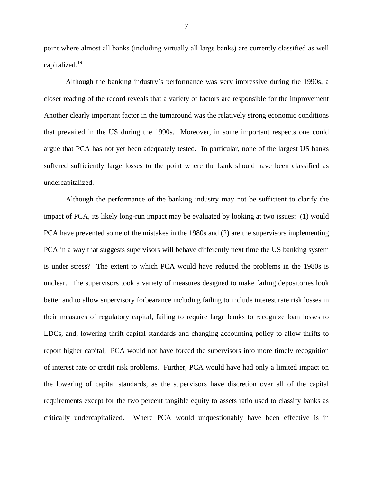point where almost all banks (including virtually all large banks) are currently classified as well capitalized.19

 Although the banking industry's performance was very impressive during the 1990s, a closer reading of the record reveals that a variety of factors are responsible for the improvement Another clearly important factor in the turnaround was the relatively strong economic conditions that prevailed in the US during the 1990s. Moreover, in some important respects one could argue that PCA has not yet been adequately tested. In particular, none of the largest US banks suffered sufficiently large losses to the point where the bank should have been classified as undercapitalized.

 Although the performance of the banking industry may not be sufficient to clarify the impact of PCA, its likely long-run impact may be evaluated by looking at two issues: (1) would PCA have prevented some of the mistakes in the 1980s and (2) are the supervisors implementing PCA in a way that suggests supervisors will behave differently next time the US banking system is under stress? The extent to which PCA would have reduced the problems in the 1980s is unclear. The supervisors took a variety of measures designed to make failing depositories look better and to allow supervisory forbearance including failing to include interest rate risk losses in their measures of regulatory capital, failing to require large banks to recognize loan losses to LDCs, and, lowering thrift capital standards and changing accounting policy to allow thrifts to report higher capital, PCA would not have forced the supervisors into more timely recognition of interest rate or credit risk problems. Further, PCA would have had only a limited impact on the lowering of capital standards, as the supervisors have discretion over all of the capital requirements except for the two percent tangible equity to assets ratio used to classify banks as critically undercapitalized. Where PCA would unquestionably have been effective is in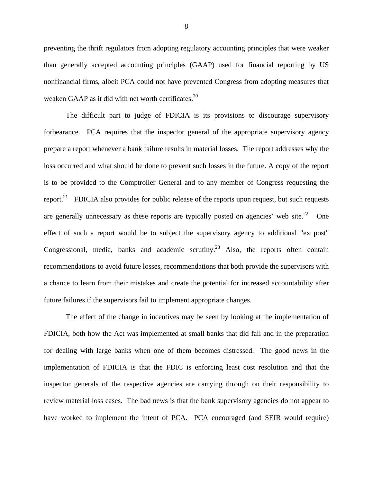preventing the thrift regulators from adopting regulatory accounting principles that were weaker than generally accepted accounting principles (GAAP) used for financial reporting by US nonfinancial firms, albeit PCA could not have prevented Congress from adopting measures that weaken GAAP as it did with net worth certificates.<sup>20</sup>

 The difficult part to judge of FDICIA is its provisions to discourage supervisory forbearance. PCA requires that the inspector general of the appropriate supervisory agency prepare a report whenever a bank failure results in material losses. The report addresses why the loss occurred and what should be done to prevent such losses in the future. A copy of the report is to be provided to the Comptroller General and to any member of Congress requesting the report.<sup>21</sup> FDICIA also provides for public release of the reports upon request, but such requests are generally unnecessary as these reports are typically posted on agencies' web site.<sup>22</sup> One effect of such a report would be to subject the supervisory agency to additional "ex post" Congressional, media, banks and academic scrutiny.<sup>23</sup> Also, the reports often contain recommendations to avoid future losses, recommendations that both provide the supervisors with a chance to learn from their mistakes and create the potential for increased accountability after future failures if the supervisors fail to implement appropriate changes.

 The effect of the change in incentives may be seen by looking at the implementation of FDICIA, both how the Act was implemented at small banks that did fail and in the preparation for dealing with large banks when one of them becomes distressed. The good news in the implementation of FDICIA is that the FDIC is enforcing least cost resolution and that the inspector generals of the respective agencies are carrying through on their responsibility to review material loss cases. The bad news is that the bank supervisory agencies do not appear to have worked to implement the intent of PCA. PCA encouraged (and SEIR would require)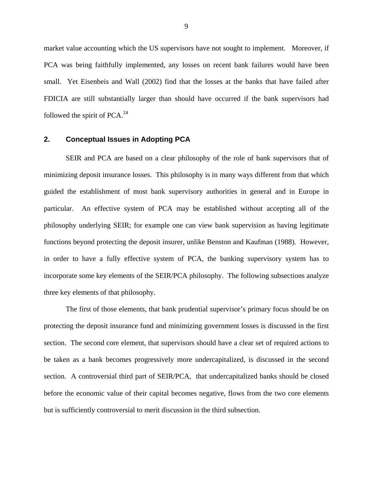market value accounting which the US supervisors have not sought to implement. Moreover, if PCA was being faithfully implemented, any losses on recent bank failures would have been small. Yet Eisenbeis and Wall (2002) find that the losses at the banks that have failed after FDICIA are still substantially larger than should have occurred if the bank supervisors had followed the spirit of  $PCA.<sup>24</sup>$ 

#### **2. Conceptual Issues in Adopting PCA**

SEIR and PCA are based on a clear philosophy of the role of bank supervisors that of minimizing deposit insurance losses. This philosophy is in many ways different from that which guided the establishment of most bank supervisory authorities in general and in Europe in particular. An effective system of PCA may be established without accepting all of the philosophy underlying SEIR; for example one can view bank supervision as having legitimate functions beyond protecting the deposit insurer, unlike Benston and Kaufman (1988). However, in order to have a fully effective system of PCA, the banking supervisory system has to incorporate some key elements of the SEIR/PCA philosophy. The following subsections analyze three key elements of that philosophy.

The first of those elements, that bank prudential supervisor's primary focus should be on protecting the deposit insurance fund and minimizing government losses is discussed in the first section. The second core element, that supervisors should have a clear set of required actions to be taken as a bank becomes progressively more undercapitalized, is discussed in the second section. A controversial third part of SEIR/PCA, that undercapitalized banks should be closed before the economic value of their capital becomes negative, flows from the two core elements but is sufficiently controversial to merit discussion in the third subsection.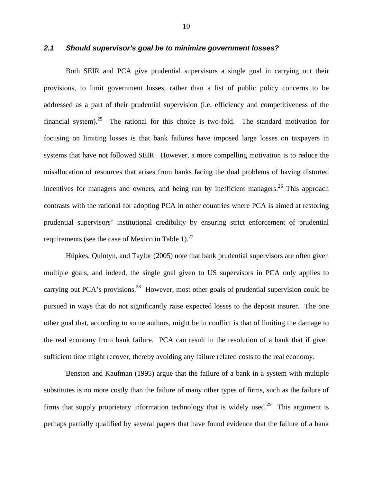## *2.1 Should supervisor's goal be to minimize government losses?*

Both SEIR and PCA give prudential supervisors a single goal in carrying out their provisions, to limit government losses, rather than a list of public policy concerns to be addressed as a part of their prudential supervision (i.e. efficiency and competitiveness of the financial system).<sup>25</sup> The rational for this choice is two-fold. The standard motivation for focusing on limiting losses is that bank failures have imposed large losses on taxpayers in systems that have not followed SEIR. However, a more compelling motivation is to reduce the misallocation of resources that arises from banks facing the dual problems of having distorted incentives for managers and owners, and being run by inefficient managers.<sup>26</sup> This approach contrasts with the rational for adopting PCA in other countries where PCA is aimed at restoring prudential supervisors' institutional credibility by ensuring strict enforcement of prudential requirements (see the case of Mexico in Table 1). $^{27}$ 

 Hüpkes, Quintyn, and Taylor (2005) note that bank prudential supervisors are often given multiple goals, and indeed, the single goal given to US supervisors in PCA only applies to carrying out PCA's provisions.<sup>28</sup> However, most other goals of prudential supervision could be pursued in ways that do not significantly raise expected losses to the deposit insurer. The one other goal that, according to some authors, might be in conflict is that of limiting the damage to the real economy from bank failure. PCA can result in the resolution of a bank that if given sufficient time might recover, thereby avoiding any failure related costs to the real economy.

 Benston and Kaufman (1995) argue that the failure of a bank in a system with multiple substitutes is no more costly than the failure of many other types of firms, such as the failure of firms that supply proprietary information technology that is widely used.<sup>29</sup> This argument is perhaps partially qualified by several papers that have found evidence that the failure of a bank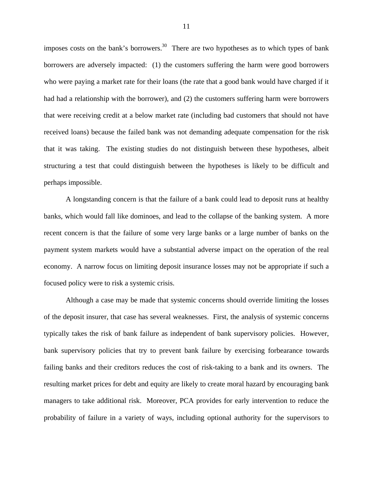imposes costs on the bank's borrowers.<sup>30</sup> There are two hypotheses as to which types of bank borrowers are adversely impacted: (1) the customers suffering the harm were good borrowers who were paying a market rate for their loans (the rate that a good bank would have charged if it had had a relationship with the borrower), and (2) the customers suffering harm were borrowers that were receiving credit at a below market rate (including bad customers that should not have received loans) because the failed bank was not demanding adequate compensation for the risk that it was taking. The existing studies do not distinguish between these hypotheses, albeit structuring a test that could distinguish between the hypotheses is likely to be difficult and perhaps impossible.

A longstanding concern is that the failure of a bank could lead to deposit runs at healthy banks, which would fall like dominoes, and lead to the collapse of the banking system. A more recent concern is that the failure of some very large banks or a large number of banks on the payment system markets would have a substantial adverse impact on the operation of the real economy. A narrow focus on limiting deposit insurance losses may not be appropriate if such a focused policy were to risk a systemic crisis.

 Although a case may be made that systemic concerns should override limiting the losses of the deposit insurer, that case has several weaknesses. First, the analysis of systemic concerns typically takes the risk of bank failure as independent of bank supervisory policies. However, bank supervisory policies that try to prevent bank failure by exercising forbearance towards failing banks and their creditors reduces the cost of risk-taking to a bank and its owners. The resulting market prices for debt and equity are likely to create moral hazard by encouraging bank managers to take additional risk. Moreover, PCA provides for early intervention to reduce the probability of failure in a variety of ways, including optional authority for the supervisors to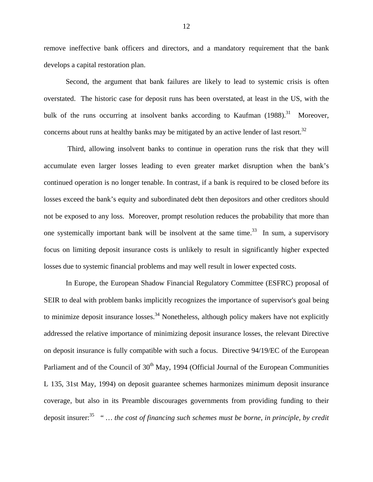remove ineffective bank officers and directors, and a mandatory requirement that the bank develops a capital restoration plan.

 Second, the argument that bank failures are likely to lead to systemic crisis is often overstated. The historic case for deposit runs has been overstated, at least in the US, with the bulk of the runs occurring at insolvent banks according to Kaufman  $(1988)$ <sup>31</sup> Moreover, concerns about runs at healthy banks may be mitigated by an active lender of last resort.<sup>32</sup>

 Third, allowing insolvent banks to continue in operation runs the risk that they will accumulate even larger losses leading to even greater market disruption when the bank's continued operation is no longer tenable. In contrast, if a bank is required to be closed before its losses exceed the bank's equity and subordinated debt then depositors and other creditors should not be exposed to any loss. Moreover, prompt resolution reduces the probability that more than one systemically important bank will be insolvent at the same time.<sup>33</sup> In sum, a supervisory focus on limiting deposit insurance costs is unlikely to result in significantly higher expected losses due to systemic financial problems and may well result in lower expected costs.

In Europe, the European Shadow Financial Regulatory Committee (ESFRC) proposal of SEIR to deal with problem banks implicitly recognizes the importance of supervisor's goal being to minimize deposit insurance  $losses<sup>34</sup>$  Nonetheless, although policy makers have not explicitly addressed the relative importance of minimizing deposit insurance losses, the relevant Directive on deposit insurance is fully compatible with such a focus. Directive 94/19/EC of the European Parliament and of the Council of  $30<sup>th</sup>$  May, 1994 (Official Journal of the European Communities L 135, 31st May, 1994) on deposit guarantee schemes harmonizes minimum deposit insurance coverage, but also in its Preamble discourages governments from providing funding to their deposit insurer:35 " *… the cost of financing such schemes must be borne, in principle, by credit*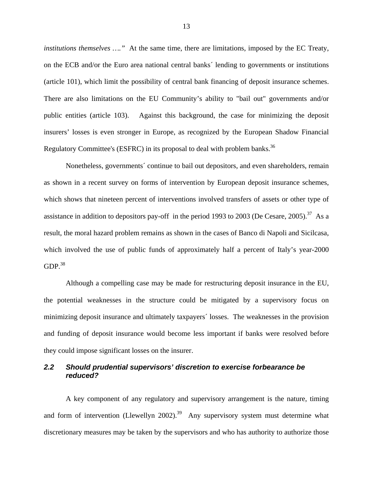*institutions themselves …."* At the same time, there are limitations, imposed by the EC Treaty, on the ECB and/or the Euro area national central banks´ lending to governments or institutions (article 101), which limit the possibility of central bank financing of deposit insurance schemes. There are also limitations on the EU Community's ability to "bail out" governments and/or public entities (article 103). Against this background, the case for minimizing the deposit insurers' losses is even stronger in Europe, as recognized by the European Shadow Financial Regulatory Committee's (ESFRC) in its proposal to deal with problem banks.<sup>36</sup>

 Nonetheless, governments´ continue to bail out depositors, and even shareholders, remain as shown in a recent survey on forms of intervention by European deposit insurance schemes, which shows that nineteen percent of interventions involved transfers of assets or other type of assistance in addition to depositors pay-off in the period 1993 to 2003 (De Cesare, 2005).<sup>37</sup> As a result, the moral hazard problem remains as shown in the cases of Banco di Napoli and Sicilcasa, which involved the use of public funds of approximately half a percent of Italy's year-2000  $GDP.<sup>38</sup>$ 

 Although a compelling case may be made for restructuring deposit insurance in the EU, the potential weaknesses in the structure could be mitigated by a supervisory focus on minimizing deposit insurance and ultimately taxpayers´ losses. The weaknesses in the provision and funding of deposit insurance would become less important if banks were resolved before they could impose significant losses on the insurer.

# *2.2 Should prudential supervisors' discretion to exercise forbearance be reduced?*

A key component of any regulatory and supervisory arrangement is the nature, timing and form of intervention (Llewellyn 2002).<sup>39</sup> Any supervisory system must determine what discretionary measures may be taken by the supervisors and who has authority to authorize those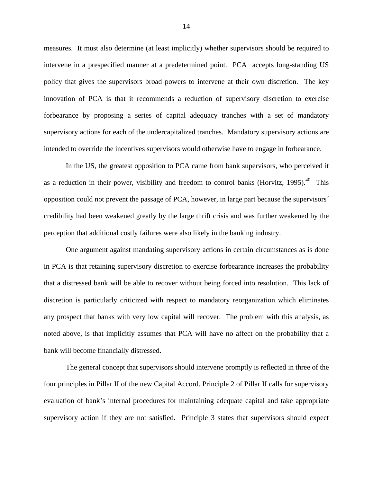measures. It must also determine (at least implicitly) whether supervisors should be required to intervene in a prespecified manner at a predetermined point. PCA accepts long-standing US policy that gives the supervisors broad powers to intervene at their own discretion. The key innovation of PCA is that it recommends a reduction of supervisory discretion to exercise forbearance by proposing a series of capital adequacy tranches with a set of mandatory supervisory actions for each of the undercapitalized tranches. Mandatory supervisory actions are intended to override the incentives supervisors would otherwise have to engage in forbearance.

In the US, the greatest opposition to PCA came from bank supervisors, who perceived it as a reduction in their power, visibility and freedom to control banks (Horvitz, 1995). $40$  This opposition could not prevent the passage of PCA, however, in large part because the supervisors´ credibility had been weakened greatly by the large thrift crisis and was further weakened by the perception that additional costly failures were also likely in the banking industry.

One argument against mandating supervisory actions in certain circumstances as is done in PCA is that retaining supervisory discretion to exercise forbearance increases the probability that a distressed bank will be able to recover without being forced into resolution. This lack of discretion is particularly criticized with respect to mandatory reorganization which eliminates any prospect that banks with very low capital will recover. The problem with this analysis, as noted above, is that implicitly assumes that PCA will have no affect on the probability that a bank will become financially distressed.

The general concept that supervisors should intervene promptly is reflected in three of the four principles in Pillar II of the new Capital Accord. Principle 2 of Pillar II calls for supervisory evaluation of bank's internal procedures for maintaining adequate capital and take appropriate supervisory action if they are not satisfied. Principle 3 states that supervisors should expect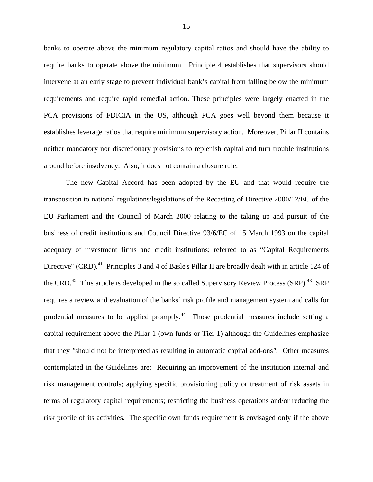banks to operate above the minimum regulatory capital ratios and should have the ability to require banks to operate above the minimum. Principle 4 establishes that supervisors should intervene at an early stage to prevent individual bank's capital from falling below the minimum requirements and require rapid remedial action. These principles were largely enacted in the PCA provisions of FDICIA in the US, although PCA goes well beyond them because it establishes leverage ratios that require minimum supervisory action. Moreover, Pillar II contains neither mandatory nor discretionary provisions to replenish capital and turn trouble institutions around before insolvency. Also, it does not contain a closure rule.

The new Capital Accord has been adopted by the EU and that would require the transposition to national regulations/legislations of the Recasting of Directive 2000/12/EC of the EU Parliament and the Council of March 2000 relating to the taking up and pursuit of the business of credit institutions and Council Directive 93/6/EC of 15 March 1993 on the capital adequacy of investment firms and credit institutions; referred to as "Capital Requirements Directive" (CRD).<sup>41</sup> Principles 3 and 4 of Basle's Pillar II are broadly dealt with in article 124 of the CRD.<sup>42</sup> This article is developed in the so called Supervisory Review Process (SRP).<sup>43</sup> SRP requires a review and evaluation of the banks´ risk profile and management system and calls for prudential measures to be applied promptly.44 Those prudential measures include setting a capital requirement above the Pillar 1 (own funds or Tier 1) although the Guidelines emphasize that they *"*should not be interpreted as resulting in automatic capital add-ons*"*. Other measures contemplated in the Guidelines are: Requiring an improvement of the institution internal and risk management controls; applying specific provisioning policy or treatment of risk assets in terms of regulatory capital requirements; restricting the business operations and/or reducing the risk profile of its activities. The specific own funds requirement is envisaged only if the above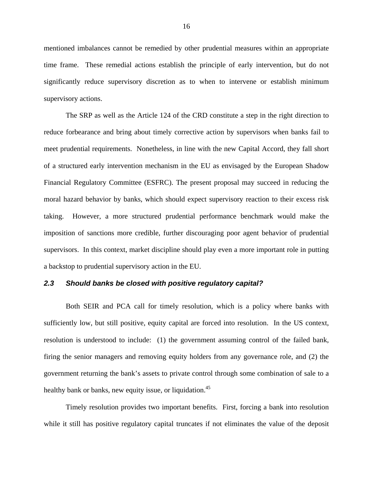mentioned imbalances cannot be remedied by other prudential measures within an appropriate time frame. These remedial actions establish the principle of early intervention, but do not significantly reduce supervisory discretion as to when to intervene or establish minimum supervisory actions.

The SRP as well as the Article 124 of the CRD constitute a step in the right direction to reduce forbearance and bring about timely corrective action by supervisors when banks fail to meet prudential requirements. Nonetheless, in line with the new Capital Accord, they fall short of a structured early intervention mechanism in the EU as envisaged by the European Shadow Financial Regulatory Committee (ESFRC). The present proposal may succeed in reducing the moral hazard behavior by banks, which should expect supervisory reaction to their excess risk taking. However, a more structured prudential performance benchmark would make the imposition of sanctions more credible, further discouraging poor agent behavior of prudential supervisors. In this context, market discipline should play even a more important role in putting a backstop to prudential supervisory action in the EU.

#### *2.3 Should banks be closed with positive regulatory capital?*

Both SEIR and PCA call for timely resolution, which is a policy where banks with sufficiently low, but still positive, equity capital are forced into resolution. In the US context, resolution is understood to include: (1) the government assuming control of the failed bank, firing the senior managers and removing equity holders from any governance role, and (2) the government returning the bank's assets to private control through some combination of sale to a healthy bank or banks, new equity issue, or liquidation.<sup>45</sup>

Timely resolution provides two important benefits. First, forcing a bank into resolution while it still has positive regulatory capital truncates if not eliminates the value of the deposit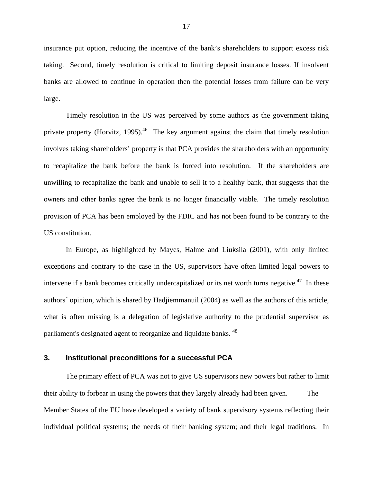insurance put option, reducing the incentive of the bank's shareholders to support excess risk taking. Second, timely resolution is critical to limiting deposit insurance losses. If insolvent banks are allowed to continue in operation then the potential losses from failure can be very large.

 Timely resolution in the US was perceived by some authors as the government taking private property (Horvitz, 1995).<sup>46</sup> The key argument against the claim that timely resolution involves taking shareholders' property is that PCA provides the shareholders with an opportunity to recapitalize the bank before the bank is forced into resolution. If the shareholders are unwilling to recapitalize the bank and unable to sell it to a healthy bank, that suggests that the owners and other banks agree the bank is no longer financially viable. The timely resolution provision of PCA has been employed by the FDIC and has not been found to be contrary to the US constitution.

In Europe, as highlighted by Mayes, Halme and Liuksila (2001), with only limited exceptions and contrary to the case in the US, supervisors have often limited legal powers to intervene if a bank becomes critically undercapitalized or its net worth turns negative.<sup>47</sup> In these authors´ opinion, which is shared by Hadjiemmanuil (2004) as well as the authors of this article, what is often missing is a delegation of legislative authority to the prudential supervisor as parliament's designated agent to reorganize and liquidate banks. <sup>48</sup>

#### **3. Institutional preconditions for a successful PCA**

 The primary effect of PCA was not to give US supervisors new powers but rather to limit their ability to forbear in using the powers that they largely already had been given. The Member States of the EU have developed a variety of bank supervisory systems reflecting their individual political systems; the needs of their banking system; and their legal traditions. In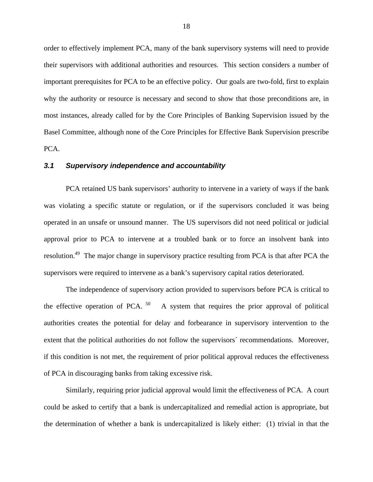order to effectively implement PCA, many of the bank supervisory systems will need to provide their supervisors with additional authorities and resources. This section considers a number of important prerequisites for PCA to be an effective policy. Our goals are two-fold, first to explain why the authority or resource is necessary and second to show that those preconditions are, in most instances, already called for by the Core Principles of Banking Supervision issued by the Basel Committee, although none of the Core Principles for Effective Bank Supervision prescribe PCA.

## *3.1 Supervisory independence and accountability*

 PCA retained US bank supervisors' authority to intervene in a variety of ways if the bank was violating a specific statute or regulation, or if the supervisors concluded it was being operated in an unsafe or unsound manner. The US supervisors did not need political or judicial approval prior to PCA to intervene at a troubled bank or to force an insolvent bank into resolution.<sup>49</sup> The major change in supervisory practice resulting from PCA is that after PCA the supervisors were required to intervene as a bank's supervisory capital ratios deteriorated.

 The independence of supervisory action provided to supervisors before PCA is critical to the effective operation of PCA.  $50$  A system that requires the prior approval of political authorities creates the potential for delay and forbearance in supervisory intervention to the extent that the political authorities do not follow the supervisors´ recommendations. Moreover, if this condition is not met, the requirement of prior political approval reduces the effectiveness of PCA in discouraging banks from taking excessive risk.

 Similarly, requiring prior judicial approval would limit the effectiveness of PCA. A court could be asked to certify that a bank is undercapitalized and remedial action is appropriate, but the determination of whether a bank is undercapitalized is likely either: (1) trivial in that the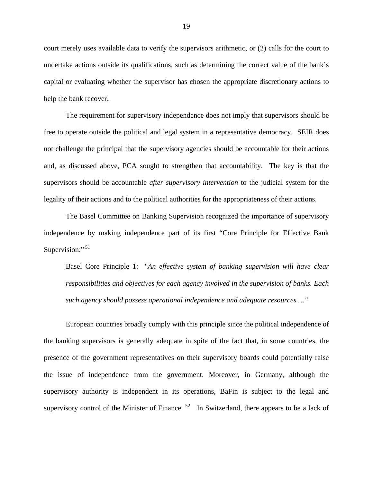court merely uses available data to verify the supervisors arithmetic, or (2) calls for the court to undertake actions outside its qualifications, such as determining the correct value of the bank's capital or evaluating whether the supervisor has chosen the appropriate discretionary actions to help the bank recover.

 The requirement for supervisory independence does not imply that supervisors should be free to operate outside the political and legal system in a representative democracy. SEIR does not challenge the principal that the supervisory agencies should be accountable for their actions and, as discussed above, PCA sought to strengthen that accountability. The key is that the supervisors should be accountable *after supervisory intervention* to the judicial system for the legality of their actions and to the political authorities for the appropriateness of their actions.

 The Basel Committee on Banking Supervision recognized the importance of supervisory independence by making independence part of its first "Core Principle for Effective Bank Supervision:" $51$ 

 Basel Core Principle 1: "*An effective system of banking supervision will have clear responsibilities and objectives for each agency involved in the supervision of banks. Each such agency should possess operational independence and adequate resources …"* 

 European countries broadly comply with this principle since the political independence of the banking supervisors is generally adequate in spite of the fact that, in some countries, the presence of the government representatives on their supervisory boards could potentially raise the issue of independence from the government. Moreover, in Germany, although the supervisory authority is independent in its operations, BaFin is subject to the legal and supervisory control of the Minister of Finance.<sup>52</sup> In Switzerland, there appears to be a lack of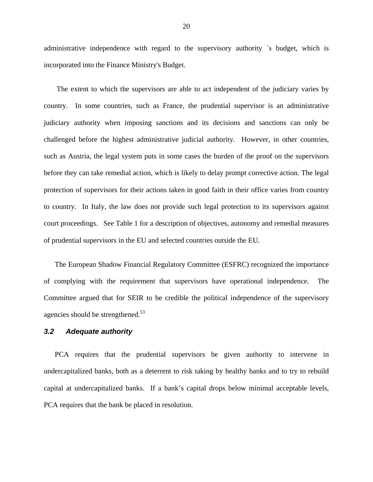administrative independence with regard to the supervisory authority ´s budget, which is incorporated into the Finance Ministry's Budget.

 The extent to which the supervisors are able to act independent of the judiciary varies by country. In some countries, such as France, the prudential supervisor is an administrative judiciary authority when imposing sanctions and its decisions and sanctions can only be challenged before the highest administrative judicial authority. However, in other countries, such as Austria, the legal system puts in some cases the burden of the proof on the supervisors before they can take remedial action, which is likely to delay prompt corrective action. The legal protection of supervisors for their actions taken in good faith in their office varies from country to country. In Italy, the law does not provide such legal protection to its supervisors against court proceedings. See Table 1 for a description of objectives, autonomy and remedial measures of prudential supervisors in the EU and selected countries outside the EU.

The European Shadow Financial Regulatory Committee (ESFRC) recognized the importance of complying with the requirement that supervisors have operational independence. The Committee argued that for SEIR to be credible the political independence of the supervisory agencies should be strengthened.<sup>53</sup>

#### *3.2 Adequate authority*

PCA requires that the prudential supervisors be given authority to intervene in undercapitalized banks, both as a deterrent to risk taking by healthy banks and to try to rebuild capital at undercapitalized banks. If a bank's capital drops below minimal acceptable levels, PCA requires that the bank be placed in resolution.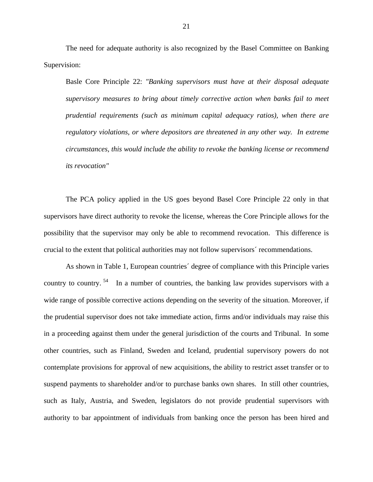The need for adequate authority is also recognized by the Basel Committee on Banking Supervision:

 Basle Core Principle 22: *"Banking supervisors must have at their disposal adequate supervisory measures to bring about timely corrective action when banks fail to meet prudential requirements (such as minimum capital adequacy ratios), when there are regulatory violations, or where depositors are threatened in any other way. In extreme circumstances, this would include the ability to revoke the banking license or recommend its revocation"*

The PCA policy applied in the US goes beyond Basel Core Principle 22 only in that supervisors have direct authority to revoke the license, whereas the Core Principle allows for the possibility that the supervisor may only be able to recommend revocation. This difference is crucial to the extent that political authorities may not follow supervisors´ recommendations.

 As shown in Table 1, European countries´ degree of compliance with this Principle varies country to country.  $54$  In a number of countries, the banking law provides supervisors with a wide range of possible corrective actions depending on the severity of the situation. Moreover, if the prudential supervisor does not take immediate action, firms and/or individuals may raise this in a proceeding against them under the general jurisdiction of the courts and Tribunal. In some other countries, such as Finland, Sweden and Iceland, prudential supervisory powers do not contemplate provisions for approval of new acquisitions, the ability to restrict asset transfer or to suspend payments to shareholder and/or to purchase banks own shares. In still other countries, such as Italy, Austria, and Sweden, legislators do not provide prudential supervisors with authority to bar appointment of individuals from banking once the person has been hired and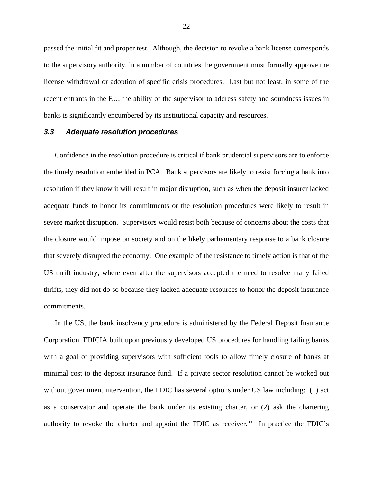passed the initial fit and proper test. Although, the decision to revoke a bank license corresponds to the supervisory authority, in a number of countries the government must formally approve the license withdrawal or adoption of specific crisis procedures. Last but not least, in some of the recent entrants in the EU, the ability of the supervisor to address safety and soundness issues in banks is significantly encumbered by its institutional capacity and resources.

#### *3.3 Adequate resolution procedures*

Confidence in the resolution procedure is critical if bank prudential supervisors are to enforce the timely resolution embedded in PCA. Bank supervisors are likely to resist forcing a bank into resolution if they know it will result in major disruption, such as when the deposit insurer lacked adequate funds to honor its commitments or the resolution procedures were likely to result in severe market disruption. Supervisors would resist both because of concerns about the costs that the closure would impose on society and on the likely parliamentary response to a bank closure that severely disrupted the economy. One example of the resistance to timely action is that of the US thrift industry, where even after the supervisors accepted the need to resolve many failed thrifts, they did not do so because they lacked adequate resources to honor the deposit insurance commitments.

In the US, the bank insolvency procedure is administered by the Federal Deposit Insurance Corporation. FDICIA built upon previously developed US procedures for handling failing banks with a goal of providing supervisors with sufficient tools to allow timely closure of banks at minimal cost to the deposit insurance fund. If a private sector resolution cannot be worked out without government intervention, the FDIC has several options under US law including: (1) act as a conservator and operate the bank under its existing charter, or (2) ask the chartering authority to revoke the charter and appoint the FDIC as receiver.<sup>55</sup> In practice the FDIC's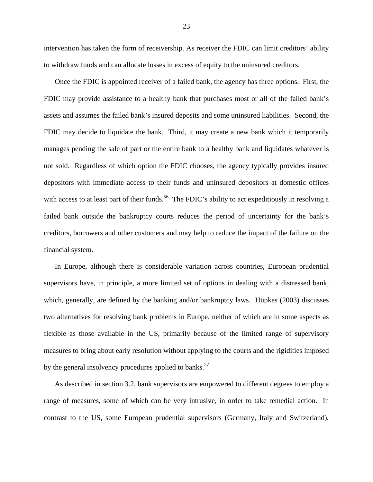intervention has taken the form of receivership. As receiver the FDIC can limit creditors' ability to withdraw funds and can allocate losses in excess of equity to the uninsured creditors.

Once the FDIC is appointed receiver of a failed bank, the agency has three options. First, the FDIC may provide assistance to a healthy bank that purchases most or all of the failed bank's assets and assumes the failed bank's insured deposits and some uninsured liabilities. Second, the FDIC may decide to liquidate the bank. Third, it may create a new bank which it temporarily manages pending the sale of part or the entire bank to a healthy bank and liquidates whatever is not sold. Regardless of which option the FDIC chooses, the agency typically provides insured depositors with immediate access to their funds and uninsured depositors at domestic offices with access to at least part of their funds.<sup>56</sup> The FDIC's ability to act expeditiously in resolving a failed bank outside the bankruptcy courts reduces the period of uncertainty for the bank's creditors, borrowers and other customers and may help to reduce the impact of the failure on the financial system.

In Europe, although there is considerable variation across countries, European prudential supervisors have, in principle, a more limited set of options in dealing with a distressed bank, which, generally, are defined by the banking and/or bankruptcy laws. Hüpkes (2003) discusses two alternatives for resolving bank problems in Europe, neither of which are in some aspects as flexible as those available in the US, primarily because of the limited range of supervisory measures to bring about early resolution without applying to the courts and the rigidities imposed by the general insolvency procedures applied to banks. $57$ 

As described in section 3.2, bank supervisors are empowered to different degrees to employ a range of measures, some of which can be very intrusive, in order to take remedial action. In contrast to the US, some European prudential supervisors (Germany, Italy and Switzerland),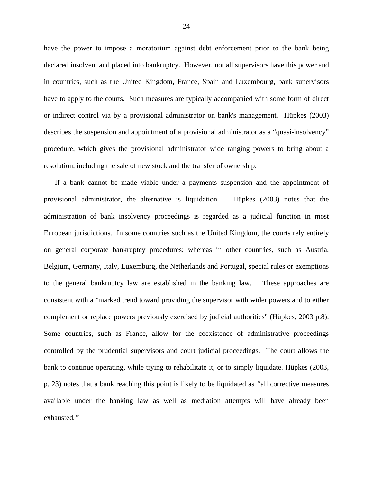have the power to impose a moratorium against debt enforcement prior to the bank being declared insolvent and placed into bankruptcy. However, not all supervisors have this power and in countries, such as the United Kingdom, France, Spain and Luxembourg, bank supervisors have to apply to the courts. Such measures are typically accompanied with some form of direct or indirect control via by a provisional administrator on bank's management. Hüpkes (2003) describes the suspension and appointment of a provisional administrator as a "quasi-insolvency" procedure, which gives the provisional administrator wide ranging powers to bring about a resolution, including the sale of new stock and the transfer of ownership.

If a bank cannot be made viable under a payments suspension and the appointment of provisional administrator, the alternative is liquidation. Hüpkes (2003) notes that the administration of bank insolvency proceedings is regarded as a judicial function in most European jurisdictions. In some countries such as the United Kingdom, the courts rely entirely on general corporate bankruptcy procedures; whereas in other countries, such as Austria, Belgium, Germany, Italy, Luxemburg, the Netherlands and Portugal, special rules or exemptions to the general bankruptcy law are established in the banking law. These approaches are consistent with a *"*marked trend toward providing the supervisor with wider powers and to either complement or replace powers previously exercised by judicial authorities" (Hüpkes, 2003 p.8). Some countries, such as France, allow for the coexistence of administrative proceedings controlled by the prudential supervisors and court judicial proceedings. The court allows the bank to continue operating, while trying to rehabilitate it, or to simply liquidate. Hüpkes (2003, p. 23) notes that a bank reaching this point is likely to be liquidated as *"*all corrective measures available under the banking law as well as mediation attempts will have already been exhausted*."*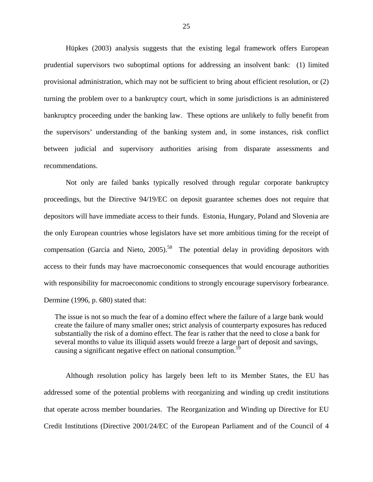Hüpkes (2003) analysis suggests that the existing legal framework offers European prudential supervisors two suboptimal options for addressing an insolvent bank: (1) limited provisional administration, which may not be sufficient to bring about efficient resolution, or (2) turning the problem over to a bankruptcy court, which in some jurisdictions is an administered bankruptcy proceeding under the banking law. These options are unlikely to fully benefit from the supervisors' understanding of the banking system and, in some instances, risk conflict between judicial and supervisory authorities arising from disparate assessments and recommendations.

 Not only are failed banks typically resolved through regular corporate bankruptcy proceedings, but the Directive 94/19/EC on deposit guarantee schemes does not require that depositors will have immediate access to their funds. Estonia, Hungary, Poland and Slovenia are the only European countries whose legislators have set more ambitious timing for the receipt of compensation (Garcia and Nieto, 2005).<sup>58</sup> The potential delay in providing depositors with access to their funds may have macroeconomic consequences that would encourage authorities with responsibility for macroeconomic conditions to strongly encourage supervisory forbearance. Dermine (1996, p. 680) stated that:

The issue is not so much the fear of a domino effect where the failure of a large bank would create the failure of many smaller ones; strict analysis of counterparty exposures has reduced substantially the risk of a domino effect. The fear is rather that the need to close a bank for several months to value its illiquid assets would freeze a large part of deposit and savings, causing a significant negative effect on national consumption.<sup>59</sup>

Although resolution policy has largely been left to its Member States, the EU has addressed some of the potential problems with reorganizing and winding up credit institutions that operate across member boundaries. The Reorganization and Winding up Directive for EU Credit Institutions (Directive 2001/24/EC of the European Parliament and of the Council of 4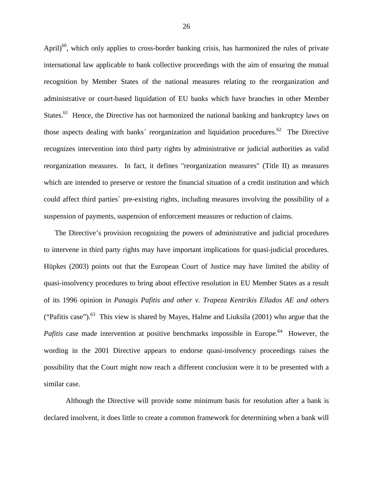April $]^{60}$ , which only applies to cross-border banking crisis, has harmonized the rules of private international law applicable to bank collective proceedings with the aim of ensuring the mutual recognition by Member States of the national measures relating to the reorganization and administrative or court-based liquidation of EU banks which have branches in other Member States.<sup>61</sup> Hence, the Directive has not harmonized the national banking and bankruptcy laws on those aspects dealing with banks' reorganization and liquidation procedures.<sup>62</sup> The Directive recognizes intervention into third party rights by administrative or judicial authorities as valid reorganization measures. In fact, it defines "reorganization measures" (Title II) as measures which are intended to preserve or restore the financial situation of a credit institution and which could affect third parties´ pre-existing rights, including measures involving the possibility of a suspension of payments, suspension of enforcement measures or reduction of claims.

The Directive's provision recognizing the powers of administrative and judicial procedures to intervene in third party rights may have important implications for quasi-judicial procedures. Hüpkes (2003) points out that the European Court of Justice may have limited the ability of quasi-insolvency procedures to bring about effective resolution in EU Member States as a result of its 1996 opinion in *Panagis Pafitis and other v. Trapeza Kentrikis Ellados AE and others*  ("Pafitis case"). $^{63}$  This view is shared by Mayes, Halme and Liuksila (2001) who argue that the *Pafitis* case made intervention at positive benchmarks impossible in Europe.<sup>64</sup> However, the wording in the 2001 Directive appears to endorse quasi-insolvency proceedings raises the possibility that the Court might now reach a different conclusion were it to be presented with a similar case.

Although the Directive will provide some minimum basis for resolution after a bank is declared insolvent, it does little to create a common framework for determining when a bank will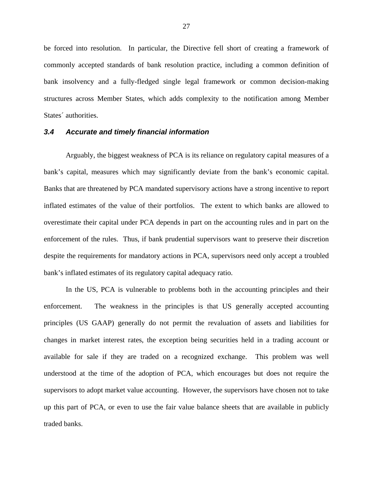be forced into resolution. In particular, the Directive fell short of creating a framework of commonly accepted standards of bank resolution practice, including a common definition of bank insolvency and a fully-fledged single legal framework or common decision-making structures across Member States, which adds complexity to the notification among Member States´ authorities.

#### *3.4 Accurate and timely financial information*

 Arguably, the biggest weakness of PCA is its reliance on regulatory capital measures of a bank's capital, measures which may significantly deviate from the bank's economic capital. Banks that are threatened by PCA mandated supervisory actions have a strong incentive to report inflated estimates of the value of their portfolios. The extent to which banks are allowed to overestimate their capital under PCA depends in part on the accounting rules and in part on the enforcement of the rules. Thus, if bank prudential supervisors want to preserve their discretion despite the requirements for mandatory actions in PCA, supervisors need only accept a troubled bank's inflated estimates of its regulatory capital adequacy ratio.

 In the US, PCA is vulnerable to problems both in the accounting principles and their enforcement. The weakness in the principles is that US generally accepted accounting principles (US GAAP) generally do not permit the revaluation of assets and liabilities for changes in market interest rates, the exception being securities held in a trading account or available for sale if they are traded on a recognized exchange. This problem was well understood at the time of the adoption of PCA, which encourages but does not require the supervisors to adopt market value accounting. However, the supervisors have chosen not to take up this part of PCA, or even to use the fair value balance sheets that are available in publicly traded banks.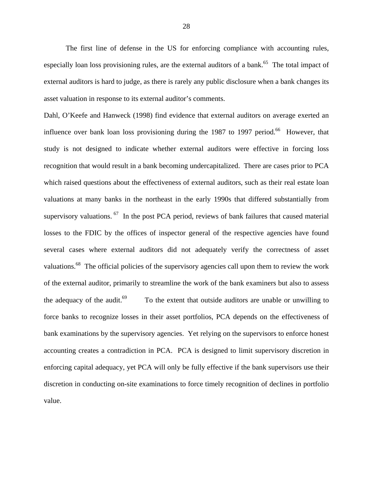The first line of defense in the US for enforcing compliance with accounting rules, especially loan loss provisioning rules, are the external auditors of a bank.<sup>65</sup> The total impact of external auditors is hard to judge, as there is rarely any public disclosure when a bank changes its asset valuation in response to its external auditor's comments.

Dahl, O'Keefe and Hanweck (1998) find evidence that external auditors on average exerted an influence over bank loan loss provisioning during the 1987 to 1997 period.<sup>66</sup> However, that study is not designed to indicate whether external auditors were effective in forcing loss recognition that would result in a bank becoming undercapitalized. There are cases prior to PCA which raised questions about the effectiveness of external auditors, such as their real estate loan valuations at many banks in the northeast in the early 1990s that differed substantially from supervisory valuations.  $67$  In the post PCA period, reviews of bank failures that caused material losses to the FDIC by the offices of inspector general of the respective agencies have found several cases where external auditors did not adequately verify the correctness of asset valuations.<sup>68</sup> The official policies of the supervisory agencies call upon them to review the work of the external auditor, primarily to streamline the work of the bank examiners but also to assess the adequacy of the audit.<sup>69</sup> To the extent that outside auditors are unable or unwilling to force banks to recognize losses in their asset portfolios, PCA depends on the effectiveness of bank examinations by the supervisory agencies. Yet relying on the supervisors to enforce honest accounting creates a contradiction in PCA. PCA is designed to limit supervisory discretion in enforcing capital adequacy, yet PCA will only be fully effective if the bank supervisors use their discretion in conducting on-site examinations to force timely recognition of declines in portfolio value.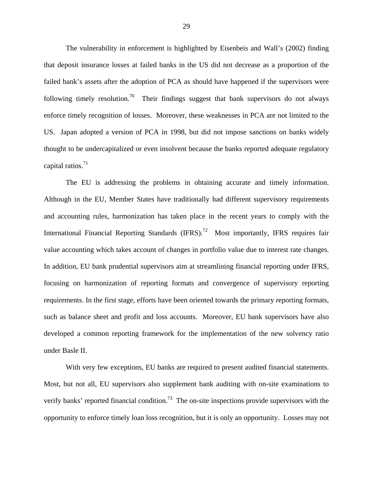The vulnerability in enforcement is highlighted by Eisenbeis and Wall's (2002) finding that deposit insurance losses at failed banks in the US did not decrease as a proportion of the failed bank's assets after the adoption of PCA as should have happened if the supervisors were following timely resolution.<sup>70</sup> Their findings suggest that bank supervisors do not always enforce timely recognition of losses. Moreover, these weaknesses in PCA are not limited to the US. Japan adopted a version of PCA in 1998, but did not impose sanctions on banks widely thought to be undercapitalized or even insolvent because the banks reported adequate regulatory capital ratios. $71$ 

 The EU is addressing the problems in obtaining accurate and timely information. Although in the EU, Member States have traditionally had different supervisory requirements and accounting rules, harmonization has taken place in the recent years to comply with the International Financial Reporting Standards (IFRS).<sup>72</sup> Most importantly, IFRS requires fair value accounting which takes account of changes in portfolio value due to interest rate changes. In addition, EU bank prudential supervisors aim at streamlining financial reporting under IFRS, focusing on harmonization of reporting formats and convergence of supervisory reporting requirements. In the first stage, efforts have been oriented towards the primary reporting formats, such as balance sheet and profit and loss accounts. Moreover, EU bank supervisors have also developed a common reporting framework for the implementation of the new solvency ratio under Basle II.

 With very few exceptions, EU banks are required to present audited financial statements. Most, but not all, EU supervisors also supplement bank auditing with on-site examinations to verify banks' reported financial condition.<sup>73</sup> The on-site inspections provide supervisors with the opportunity to enforce timely loan loss recognition, but it is only an opportunity. Losses may not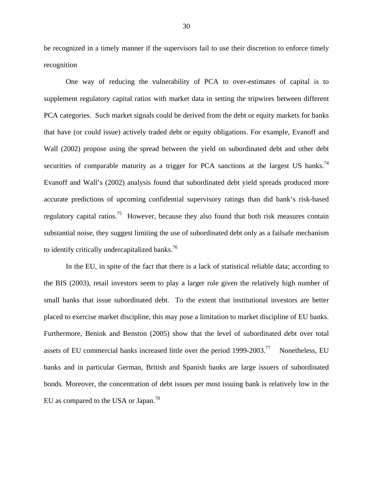be recognized in a timely manner if the supervisors fail to use their discretion to enforce timely recognition

 One way of reducing the vulnerability of PCA to over-estimates of capital is to supplement regulatory capital ratios with market data in setting the tripwires between different PCA categories. Such market signals could be derived from the debt or equity markets for banks that have (or could issue) actively traded debt or equity obligations. For example, Evanoff and Wall (2002) propose using the spread between the yield on subordinated debt and other debt securities of comparable maturity as a trigger for PCA sanctions at the largest US banks.<sup>74</sup> Evanoff and Wall's (2002) analysis found that subordinated debt yield spreads produced more accurate predictions of upcoming confidential supervisory ratings than did bank's risk-based regulatory capital ratios.<sup>75</sup> However, because they also found that both risk measures contain substantial noise, they suggest limiting the use of subordinated debt only as a failsafe mechanism to identify critically undercapitalized banks.<sup>76</sup>

 In the EU, in spite of the fact that there is a lack of statistical reliable data; according to the BIS (2003), retail investors seem to play a larger role given the relatively high number of small banks that issue subordinated debt. To the extent that institutional investors are better placed to exercise market discipline, this may pose a limitation to market discipline of EU banks. Furthermore, Benink and Benston (2005) show that the level of subordinated debt over total assets of EU commercial banks increased little over the period  $1999-2003$ .<sup>77</sup> Nonetheless, EU banks and in particular German, British and Spanish banks are large issuers of subordinated bonds. Moreover, the concentration of debt issues per most issuing bank is relatively low in the EU as compared to the USA or Japan.<sup>78</sup>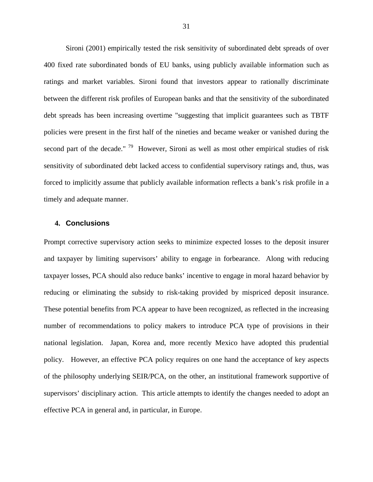Sironi (2001) empirically tested the risk sensitivity of subordinated debt spreads of over 400 fixed rate subordinated bonds of EU banks, using publicly available information such as ratings and market variables. Sironi found that investors appear to rationally discriminate between the different risk profiles of European banks and that the sensitivity of the subordinated debt spreads has been increasing overtime "suggesting that implicit guarantees such as TBTF policies were present in the first half of the nineties and became weaker or vanished during the second part of the decade."  $\frac{79}{7}$  However, Sironi as well as most other empirical studies of risk sensitivity of subordinated debt lacked access to confidential supervisory ratings and, thus, was forced to implicitly assume that publicly available information reflects a bank's risk profile in a timely and adequate manner.

#### **4. Conclusions**

Prompt corrective supervisory action seeks to minimize expected losses to the deposit insurer and taxpayer by limiting supervisors' ability to engage in forbearance. Along with reducing taxpayer losses, PCA should also reduce banks' incentive to engage in moral hazard behavior by reducing or eliminating the subsidy to risk-taking provided by mispriced deposit insurance. These potential benefits from PCA appear to have been recognized, as reflected in the increasing number of recommendations to policy makers to introduce PCA type of provisions in their national legislation. Japan, Korea and, more recently Mexico have adopted this prudential policy. However, an effective PCA policy requires on one hand the acceptance of key aspects of the philosophy underlying SEIR/PCA, on the other, an institutional framework supportive of supervisors' disciplinary action. This article attempts to identify the changes needed to adopt an effective PCA in general and, in particular, in Europe.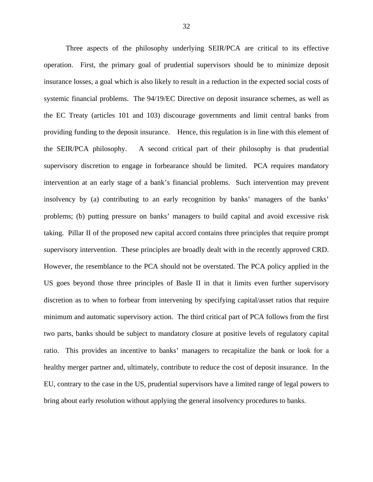Three aspects of the philosophy underlying SEIR/PCA are critical to its effective operation. First, the primary goal of prudential supervisors should be to minimize deposit insurance losses, a goal which is also likely to result in a reduction in the expected social costs of systemic financial problems. The 94/19/EC Directive on deposit insurance schemes, as well as the EC Treaty (articles 101 and 103) discourage governments and limit central banks from providing funding to the deposit insurance. Hence, this regulation is in line with this element of the SEIR/PCA philosophy. A second critical part of their philosophy is that prudential supervisory discretion to engage in forbearance should be limited. PCA requires mandatory intervention at an early stage of a bank's financial problems. Such intervention may prevent insolvency by (a) contributing to an early recognition by banks' managers of the banks' problems; (b) putting pressure on banks' managers to build capital and avoid excessive risk taking. Pillar II of the proposed new capital accord contains three principles that require prompt supervisory intervention. These principles are broadly dealt with in the recently approved CRD. However, the resemblance to the PCA should not be overstated. The PCA policy applied in the US goes beyond those three principles of Basle II in that it limits even further supervisory discretion as to when to forbear from intervening by specifying capital/asset ratios that require minimum and automatic supervisory action. The third critical part of PCA follows from the first two parts, banks should be subject to mandatory closure at positive levels of regulatory capital ratio. This provides an incentive to banks' managers to recapitalize the bank or look for a healthy merger partner and, ultimately, contribute to reduce the cost of deposit insurance. In the EU, contrary to the case in the US, prudential supervisors have a limited range of legal powers to bring about early resolution without applying the general insolvency procedures to banks.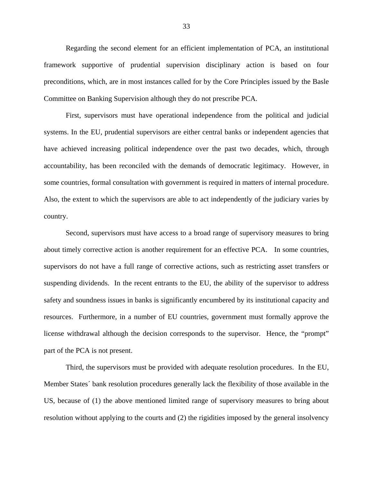Regarding the second element for an efficient implementation of PCA, an institutional framework supportive of prudential supervision disciplinary action is based on four preconditions, which, are in most instances called for by the Core Principles issued by the Basle Committee on Banking Supervision although they do not prescribe PCA.

 First, supervisors must have operational independence from the political and judicial systems. In the EU, prudential supervisors are either central banks or independent agencies that have achieved increasing political independence over the past two decades, which, through accountability, has been reconciled with the demands of democratic legitimacy. However, in some countries, formal consultation with government is required in matters of internal procedure. Also, the extent to which the supervisors are able to act independently of the judiciary varies by country.

 Second, supervisors must have access to a broad range of supervisory measures to bring about timely corrective action is another requirement for an effective PCA. In some countries, supervisors do not have a full range of corrective actions, such as restricting asset transfers or suspending dividends. In the recent entrants to the EU, the ability of the supervisor to address safety and soundness issues in banks is significantly encumbered by its institutional capacity and resources. Furthermore, in a number of EU countries, government must formally approve the license withdrawal although the decision corresponds to the supervisor. Hence, the "prompt" part of the PCA is not present.

 Third, the supervisors must be provided with adequate resolution procedures. In the EU, Member States´ bank resolution procedures generally lack the flexibility of those available in the US, because of (1) the above mentioned limited range of supervisory measures to bring about resolution without applying to the courts and (2) the rigidities imposed by the general insolvency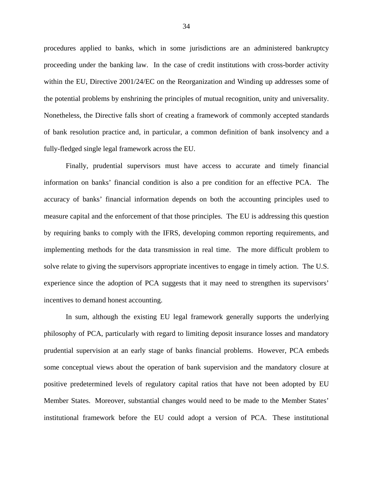procedures applied to banks, which in some jurisdictions are an administered bankruptcy proceeding under the banking law. In the case of credit institutions with cross-border activity within the EU, Directive 2001/24/EC on the Reorganization and Winding up addresses some of the potential problems by enshrining the principles of mutual recognition, unity and universality. Nonetheless, the Directive falls short of creating a framework of commonly accepted standards of bank resolution practice and, in particular, a common definition of bank insolvency and a fully-fledged single legal framework across the EU.

 Finally, prudential supervisors must have access to accurate and timely financial information on banks' financial condition is also a pre condition for an effective PCA. The accuracy of banks' financial information depends on both the accounting principles used to measure capital and the enforcement of that those principles. The EU is addressing this question by requiring banks to comply with the IFRS, developing common reporting requirements, and implementing methods for the data transmission in real time. The more difficult problem to solve relate to giving the supervisors appropriate incentives to engage in timely action. The U.S. experience since the adoption of PCA suggests that it may need to strengthen its supervisors' incentives to demand honest accounting.

 In sum, although the existing EU legal framework generally supports the underlying philosophy of PCA, particularly with regard to limiting deposit insurance losses and mandatory prudential supervision at an early stage of banks financial problems. However, PCA embeds some conceptual views about the operation of bank supervision and the mandatory closure at positive predetermined levels of regulatory capital ratios that have not been adopted by EU Member States. Moreover, substantial changes would need to be made to the Member States' institutional framework before the EU could adopt a version of PCA. These institutional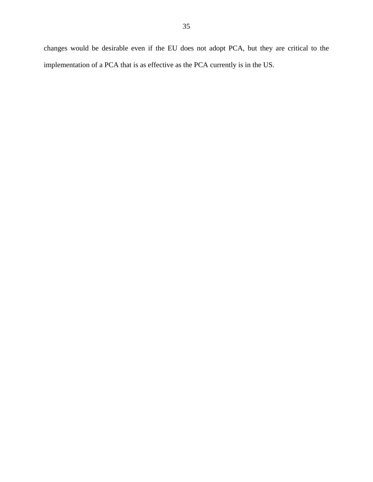changes would be desirable even if the EU does not adopt PCA, but they are critical to the implementation of a PCA that is as effective as the PCA currently is in the US.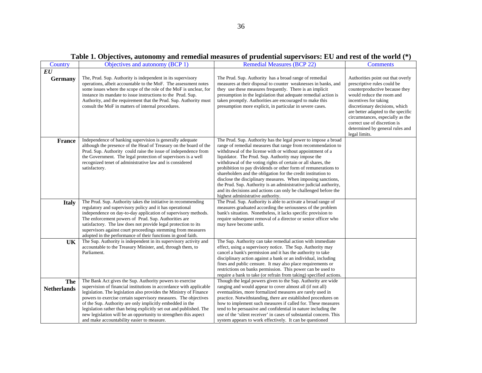| Country                          | Objectives and autonomy (BCP 1)                                                                                                                                                                                                                                                                                                                                                                                                                                                                                                | <b>Remedial Measures (BCP 22)</b>                                                                                                                                                                                                                                                                                                                                                                                                                                                                                                                                                                                                                                                                    | <b>Comments</b>                                                                                                                                                                                                                                                                                                                                          |
|----------------------------------|--------------------------------------------------------------------------------------------------------------------------------------------------------------------------------------------------------------------------------------------------------------------------------------------------------------------------------------------------------------------------------------------------------------------------------------------------------------------------------------------------------------------------------|------------------------------------------------------------------------------------------------------------------------------------------------------------------------------------------------------------------------------------------------------------------------------------------------------------------------------------------------------------------------------------------------------------------------------------------------------------------------------------------------------------------------------------------------------------------------------------------------------------------------------------------------------------------------------------------------------|----------------------------------------------------------------------------------------------------------------------------------------------------------------------------------------------------------------------------------------------------------------------------------------------------------------------------------------------------------|
| E U<br><b>Germany</b>            | The, Prud. Sup. Authority is independent in its supervisory<br>operations, albeit accountable to the MoF. The assessment notes<br>some issues where the scope of the role of the MoF is unclear, for<br>instance its mandate to issue instructions to the Prud. Sup.<br>Authority, and the requirement that the Prud. Sup. Authority must<br>consult the MoF in matters of internal procedures.                                                                                                                                | The Prud. Sup. Authority has a broad range of remedial<br>measures at their disposal to counter weaknesses in banks, and<br>they use these measures frequently. There is an implicit<br>presumption in the legislation that adequate remedial action is<br>taken promptly. Authorities are encouraged to make this<br>presumption more explicit, in particular in severe cases.                                                                                                                                                                                                                                                                                                                      | Authorities point out that overly<br>prescriptive rules could be<br>counterproductive because they<br>would reduce the room and<br>incentives for taking<br>discretionary decisions, which<br>are better adapted to the specific<br>circumstances, especially as the<br>correct use of discretion is<br>determined by general rules and<br>legal limits. |
| <b>France</b>                    | Independence of banking supervision is generally adequate<br>although the presence of the Head of Treasury on the board of the<br>Prud. Sup. Authority could raise the issue of independence from<br>the Government. The legal protection of supervisors is a well<br>recognized tenet of administrative law and is considered<br>satisfactory.                                                                                                                                                                                | The Prud. Sup. Authority has the legal power to impose a broad<br>range of remedial measures that range from recommendation to<br>withdrawal of the license with or without appointment of a<br>liquidator. The Prud. Sup. Authority may impose the<br>withdrawal of the voting rights of certain or all shares, the<br>prohibition to pay dividends or other form of remunerations to<br>shareholders and the obligation for the credit institution to<br>disclose the disciplinary measures. When imposing sanctions,<br>the Prud. Sup. Authority is an administrative judicial authority,<br>and its decisions and actions can only be challenged before the<br>highest administrative authority. |                                                                                                                                                                                                                                                                                                                                                          |
| <b>Italy</b>                     | The Prud. Sup. Authority takes the initiative in recommending<br>regulatory and supervisory policy and it has operational<br>independence on day-to-day application of supervisory methods.<br>The enforcement powers of Prud. Sup. Authorities are<br>satisfactory. The law does not provide legal protection to its<br>supervisors against court proceedings stemming from measures<br>adopted in the performance of their functions in good faith.                                                                          | The Prud. Sup. Authority is able to activate a broad range of<br>measures graduated according the seriousness of the problem<br>bank's situation. Nonetheless, it lacks specific provision to<br>require subsequent removal of a director or senior officer who<br>may have become unfit.                                                                                                                                                                                                                                                                                                                                                                                                            |                                                                                                                                                                                                                                                                                                                                                          |
| UK                               | The Sup. Authority is independent in its supervisory activity and<br>accountable to the Treasury Minister, and, through them, to<br>Parliament.                                                                                                                                                                                                                                                                                                                                                                                | The Sup. Authority can take remedial action with immediate<br>effect, using a supervisory notice. The Sup. Authority may<br>cancel a bank's permission and it has the authority to take<br>disciplinary action against a bank or an individual, including<br>fines and public censure. It may also place requirements or<br>restrictions on banks permission. This power can be used to<br>require a bank to take (or refrain from taking) specified actions.                                                                                                                                                                                                                                        |                                                                                                                                                                                                                                                                                                                                                          |
| <b>The</b><br><b>Netherlands</b> | The Bank Act gives the Sup. Authority powers to exercise<br>supervision of financial institutions in accordance with applicable<br>legislation. The legislation also provides the Ministry of Finance<br>powers to exercise certain supervisory measures. The objectives<br>of the Sup. Authority are only implicitly embedded in the<br>legislation rather than being explicitly set out and published. The<br>new legislation will be an opportunity to strengthen this aspect<br>and make accountability easier to measure. | Though the legal powers given to the Sup. Authority are wide<br>ranging and would appear to cover almost all (if not all)<br>eventualities, more formalized measures are rarely used in<br>practice. Notwithstanding, there are established procedures on<br>how to implement such measures if called for. These measures<br>tend to be persuasive and confidential in nature including the<br>use of the 'silent receiver' in cases of substantial concern. This<br>system appears to work effectively. It can be questioned                                                                                                                                                                        |                                                                                                                                                                                                                                                                                                                                                          |

**Table 1. Objectives, autonomy and remedial measures of prudential supervisors: EU and rest of the world (\*)**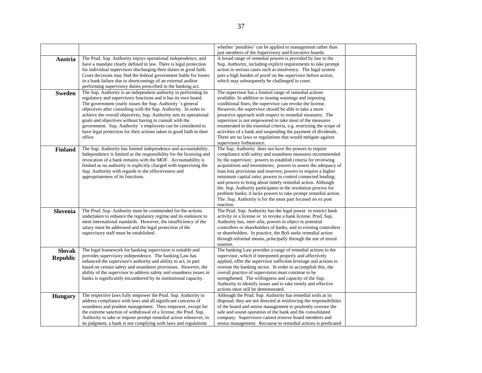|                                  |                                                                                                                                                                                                                                                                                                                                                                                                                                                                                                                                                          | whether 'penalties' can be applied to management rather than<br>just members of the Supervisory and Executive boards.                                                                                                                                                                                                                                                                                                                                                                                                                                                                                                                                                |  |
|----------------------------------|----------------------------------------------------------------------------------------------------------------------------------------------------------------------------------------------------------------------------------------------------------------------------------------------------------------------------------------------------------------------------------------------------------------------------------------------------------------------------------------------------------------------------------------------------------|----------------------------------------------------------------------------------------------------------------------------------------------------------------------------------------------------------------------------------------------------------------------------------------------------------------------------------------------------------------------------------------------------------------------------------------------------------------------------------------------------------------------------------------------------------------------------------------------------------------------------------------------------------------------|--|
| Austria                          | The Prud. Sup. Authority enjoys operational independence, and<br>have a mandate clearly defined in law. There is legal protection<br>for individual supervisors discharging their duties in good faith.<br>Court decisions may find the federal government liable for losses<br>in a bank failure due to shortcomings of an external auditor<br>performing supervisory duties prescribed in the banking act.                                                                                                                                             | A broad range of remedial powers is provided by law to the<br>Sup. Authority, including explicit requirements to take prompt<br>action in serious cases such as insolvency. The legal system<br>puts a high burden of proof on the supervisor before action,<br>which may subsequently be challenged in court.                                                                                                                                                                                                                                                                                                                                                       |  |
| <b>Sweden</b>                    | The Sup. Authority is an independent authority in performing its<br>regulatory and supervisory functions and it has its own board.<br>The government yearly issues the Sup. Authority 's general<br>objectives after consulting with the Sup. Authority. In order to<br>achieve the overall objectives, Sup. Authority sets its operational<br>goals and objectives without having to consult with the<br>government. Sup. Authority 's employees can be considered to<br>have legal protection for their actions taken in good faith in their<br>office | The supervisor has a limited range of remedial actions<br>available. In addition to issuing warnings and imposing<br>conditional fines, the supervisor can revoke the license.<br>However, the supervisor should be able to take a more<br>proactive approach with respect to remedial measures. The<br>supervisor is not empowered to take most of the measures<br>enumerated in the essential criteria, e.g. restricting the scope of<br>activities of a bank and suspending the payment of dividends.<br>There are no laws or regulations that would mitigate against<br>supervisory forbearance.                                                                 |  |
| <b>Finland</b>                   | The Sup. Authority has limited independence and accountability.<br>Independence is limited as the responsibility for the licensing and<br>revocation of a bank remains with the MOF. Accountability is<br>limited as no authority is explicitly charged with supervising the<br>Sup. Authority with regards to the effectiveness and<br>appropriateness of its functions.                                                                                                                                                                                | The Sup. Authority does not have the powers to require<br>compliance with safety and soundness measures recommended<br>by the supervisor; powers to establish criteria for reviewing<br>acquisitions and investments; powers to assess the adequacy of<br>loan loss provisions and reserves; powers to require a higher<br>minimum capital ratio; powers to control connected lending;<br>and powers to bring about timely remedial action. Although<br>the. Sup. Authority participates in the resolution process for<br>problem banks; it lacks powers to take prompt remedial action.<br>The. Sup. Authority is for the most part focused on ex post<br>reaction. |  |
| Slovenia                         | The Prud. Sup. Authority must be commended for the actions<br>undertaken to enhance the regulatory regime and its endeavor to<br>meet international standards. However, the insufficiency of the<br>salary must be addressed and the legal protection of the<br>supervisory staff must be established.                                                                                                                                                                                                                                                   | The Prud. Sup. Authority has the legal power to restrict bank<br>activity or a license or to revoke a bank license. Prud. Sup.<br>Authority has, inter alia, powers to object to potential<br>controllers or shareholders of banks, and to existing controllers<br>or shareholders. In practice, the BoS seeks remedial action<br>through informal means, principally through the use of moral<br>suasion.                                                                                                                                                                                                                                                           |  |
| <b>Slovak</b><br><b>Republic</b> | The legal framework for banking supervision is suitable and<br>provides supervisory independence. The banking Law has<br>enhanced the supervisor's authority and ability to act, in part<br>based on certain safety and soundness provisions. However, the<br>ability of the supervisor to address safety and soundness issues in<br>banks is significantly encumbered by its institutional capacity.                                                                                                                                                    | The banking Law provides a range of remedial actions to the<br>supervisor, which if interpreted properly and affectively<br>applied, offer the supervisor sufficient leverage and actions to<br>oversee the banking sector. In order to accomplish this, the<br>overall practice of supervision must continue to be<br>strengthened. The willingness and capacity of the Sup.<br>Authority to identify issues and to take timely and effective<br>actions must still be demonstrated.                                                                                                                                                                                |  |
| <b>Hungary</b>                   | The respective laws fully empower the Prud. Sup. Authority to<br>address compliance with laws and all significant concerns of<br>soundness and prudent management. They empower, except for<br>the extreme sanction of withdrawal of a license, the Prud. Sup.<br>Authority to take or impose prompt remedial action whenever, in<br>its judgment, a bank is not complying with laws and regulations                                                                                                                                                     | Although the Prud. Sup. Authority has remedial tools at its<br>disposal; they are not directed at reinforcing the responsibilities<br>of the board and senior management to prudently oversee the<br>safe and sound operation of the bank and the consolidated<br>company. Supervisors cannot remove board members and<br>senior management. Recourse to remedial actions is predicated                                                                                                                                                                                                                                                                              |  |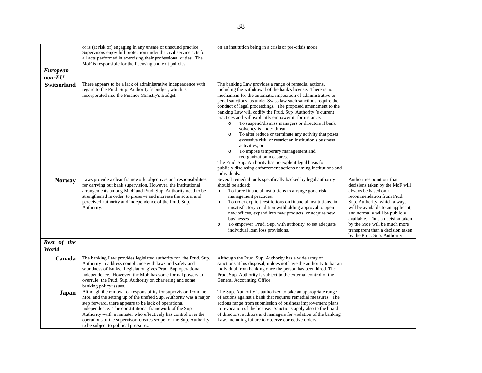|                             | or is (at risk of) engaging in any unsafe or unsound practice.<br>Supervisors enjoy full protection under the civil service acts for<br>all acts performed in exercising their professional duties. The<br>MoF is responsible for the licensing and exit policies.                                                                                                                                                                        | on an institution being in a crisis or pre-crisis mode.                                                                                                                                                                                                                                                                                                                                                                                                                                                                                                                                                                                                                                                                                                                                                                                                                                                            |                                                                                                                                                                                                                                                                                                                                                                    |
|-----------------------------|-------------------------------------------------------------------------------------------------------------------------------------------------------------------------------------------------------------------------------------------------------------------------------------------------------------------------------------------------------------------------------------------------------------------------------------------|--------------------------------------------------------------------------------------------------------------------------------------------------------------------------------------------------------------------------------------------------------------------------------------------------------------------------------------------------------------------------------------------------------------------------------------------------------------------------------------------------------------------------------------------------------------------------------------------------------------------------------------------------------------------------------------------------------------------------------------------------------------------------------------------------------------------------------------------------------------------------------------------------------------------|--------------------------------------------------------------------------------------------------------------------------------------------------------------------------------------------------------------------------------------------------------------------------------------------------------------------------------------------------------------------|
| <b>European</b><br>$non-EU$ |                                                                                                                                                                                                                                                                                                                                                                                                                                           |                                                                                                                                                                                                                                                                                                                                                                                                                                                                                                                                                                                                                                                                                                                                                                                                                                                                                                                    |                                                                                                                                                                                                                                                                                                                                                                    |
| <b>Switzerland</b>          | There appears to be a lack of administrative independence with<br>regard to the Prud. Sup. Authority 's budget, which is<br>incorporated into the Finance Ministry's Budget.                                                                                                                                                                                                                                                              | The banking Law provides a range of remedial actions,<br>including the withdrawal of the bank's license. There is no<br>mechanism for the automatic imposition of administrative or<br>penal sanctions, as under Swiss law such sanctions require the<br>conduct of legal proceedings. The proposed amendment to the<br>banking Law will codify the Prud. Sup Authority 's current<br>practices and will explicitly empower it, for instance:<br>To suspend/dismiss managers or directors if bank<br>$\circ$<br>solvency is under threat<br>To alter reduce or terminate any activity that poses<br>$\circ$<br>excessive risk, or restrict an institution's business<br>activities: or<br>To impose temporary management and<br>$\circ$<br>reorganization measures.<br>The Prud. Sup. Authority has no explicit legal basis for<br>publicly disclosing enforcement actions naming institutions and<br>individuals. |                                                                                                                                                                                                                                                                                                                                                                    |
| <b>Norway</b>               | Laws provide a clear framework, objectives and responsibilities<br>for carrying out bank supervision. However, the institutional<br>arrangements among MOF and Prud. Sup. Authority need to be<br>strengthened in order to preserve and increase the actual and<br>perceived authority and independence of the Prud. Sup.<br>Authority.                                                                                                   | Several remedial tools specifically backed by legal authority<br>should be added:<br>To force financial institutions to arrange good risk<br>$\circ$<br>management practices.<br>To order explicit restrictions on financial institutions. in<br>$\circ$<br>unsatisfactory condition withholding approval to open<br>new offices, expand into new products, or acquire new<br>businesses<br>To empower Prud. Sup. with authority to set adequate<br>$\circ$<br>individual loan loss provisions.                                                                                                                                                                                                                                                                                                                                                                                                                    | Authorities point out that<br>decisions taken by the MoF will<br>always be based on a<br>recommendation from Prud.<br>Sup. Authority, which always<br>will be available to an applicant,<br>and normally will be publicly<br>available. Thus a decision taken<br>by the MoF will be much more<br>transparent than a decision taken<br>by the Prud. Sup. Authority. |
| Rest of the<br>World        |                                                                                                                                                                                                                                                                                                                                                                                                                                           |                                                                                                                                                                                                                                                                                                                                                                                                                                                                                                                                                                                                                                                                                                                                                                                                                                                                                                                    |                                                                                                                                                                                                                                                                                                                                                                    |
| Canada                      | The banking Law provides legislated authority for the Prud. Sup.<br>Authority to address compliance with laws and safety and<br>soundness of banks. Legislation gives Prud. Sup operational<br>independence. However, the MoF has some formal powers to<br>overrule the Prud. Sup. Authority on chartering and some<br>banking policy issues.                                                                                             | Although the Prud. Sup. Authority has a wide array of<br>sanctions at his disposal; it does not have the authority to bar an<br>individual from banking once the person has been hired. The<br>Prud. Sup. Authority is subject to the external control of the<br>General Accounting Office.                                                                                                                                                                                                                                                                                                                                                                                                                                                                                                                                                                                                                        |                                                                                                                                                                                                                                                                                                                                                                    |
| Japan                       | Although the removal of responsibility for supervision from the<br>MoF and the setting up of the unified Sup. Authority was a major<br>step forward, there appears to be lack of operational<br>independence. The constitutional framework of the Sup.<br>Authority - with a minister who effectively has control over the<br>operations of the supervisor- creates scope for the Sup. Authority<br>to be subject to political pressures. | The Sup. Authority is authorized to take an appropriate range<br>of actions against a bank that requires remedial measures. The<br>actions range from submission of business improvement plans<br>to revocation of the license. Sanctions apply also to the board<br>of directors, auditors and managers for violation of the banking<br>Law, including failure to observe corrective orders.                                                                                                                                                                                                                                                                                                                                                                                                                                                                                                                      |                                                                                                                                                                                                                                                                                                                                                                    |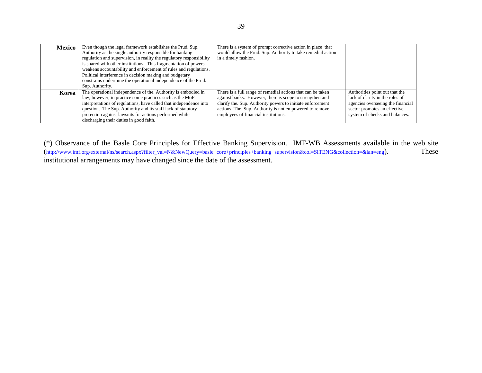| <b>Mexico</b> | Even though the legal framework establishes the Prud. Sup.<br>Authority as the single authority responsible for banking<br>regulation and supervision, in reality the regulatory responsibility<br>is shared with other institutions. This fragmentation of powers<br>weakens accountability and enforcement of rules and regulations.<br>Political interference in decision making and budgetary<br>constrains undermine the operational independence of the Prud.<br>Sup. Authority. | There is a system of prompt corrective action in place that<br>would allow the Prud. Sup. Authority to take remedial action<br>in a timely fashion.                                                                                                                                      |                                                                                                                                                                          |
|---------------|----------------------------------------------------------------------------------------------------------------------------------------------------------------------------------------------------------------------------------------------------------------------------------------------------------------------------------------------------------------------------------------------------------------------------------------------------------------------------------------|------------------------------------------------------------------------------------------------------------------------------------------------------------------------------------------------------------------------------------------------------------------------------------------|--------------------------------------------------------------------------------------------------------------------------------------------------------------------------|
| Korea         | The operational independence of the. Authority is embodied in<br>law, however, in practice some practices such as the MoF<br>interpretations of regulations, have called that independence into<br>question. The Sup. Authority and its staff lack of statutory<br>protection against lawsuits for actions performed while<br>discharging their duties in good faith.                                                                                                                  | There is a full range of remedial actions that can be taken<br>against banks. However, there is scope to strengthen and<br>clarify the. Sup. Authority powers to initiate enforcement<br>actions. The. Sup. Authority is not empowered to remove<br>employees of financial institutions. | Authorities point out that the<br>lack of clarity in the roles of<br>agencies overseeing the financial<br>sector promotes an effective<br>system of checks and balances. |

(\*) Observance of the Basle Core Principles for Effective Banking Supervision. IMF-WB Assessments available in the web site (http://www.imf.org/external/ns/search.aspx?filter\_val=N&NewQuery=basle+core+principles+banking+supervision&col=SITENG&collection=&lan=eng). These institutional arrangements may have changed since the date of the assessment.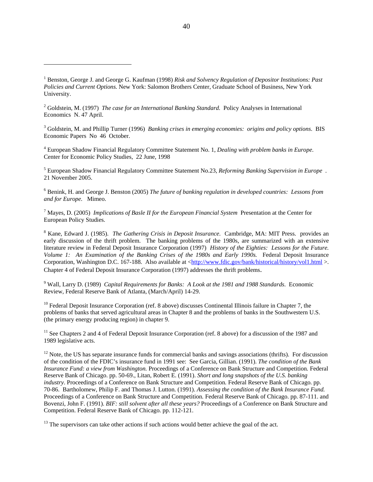<sup>2</sup> Goldstein, M. (1997) *The case for an International Banking Standard*. Policy Analyses in International Economics N. 47 April.

 $\overline{a}$ 

3 Goldstein, M. and Phillip Turner (1996) *Banking crises in emerging economies: origins and policy options*. BIS Economic Papers No 46 October.

4 European Shadow Financial Regulatory Committee Statement No. 1, *Dealing with problem banks in Europe*. Center for Economic Policy Studies, 22 June, 1998

5 European Shadow Financial Regulatory Committee Statement No.23, *Reforming Banking Supervision in Europe* . 21 November 2005.

6 Benink, H. and George J. Benston (2005) *The future of banking regulation in developed countries: Lessons from and for Europe.* Mimeo.

7 Mayes, D. (2005) *Implications of Basle II for the European Financial System* Presentation at the Center for European Policy Studies.

8 Kane, Edward J. (1985). *The Gathering Crisis in Deposit Insurance*. Cambridge, MA: MIT Press. provides an early discussion of the thrift problem. The banking problems of the 1980s, are summarized with an extensive literature review in Federal Deposit Insurance Corporation (1997) *History of the Eighties: Lessons for the Future. Volume 1: An Examination of the Banking Crises of the 1980s and Early 1990s.* Federal Deposit Insurance Corporation, Washington D.C. 167-188. Also available at <http://www.fdic.gov/bank/historical/history/vol1.html >. Chapter 4 of Federal Deposit Insurance Corporation (1997) addresses the thrift problems.

9 Wall, Larry D. (1989) *Capital Requirements for Banks: A Look at the 1981 and 1988 Standards*. Economic Review, Federal Reserve Bank of Atlanta, (March/April) 14-29.

 $10$  Federal Deposit Insurance Corporation (ref. 8 above) discusses Continental Illinois failure in Chapter 7, the problems of banks that served agricultural areas in Chapter 8 and the problems of banks in the Southwestern U.S. (the primary energy producing region) in chapter 9.

<sup>11</sup> See Chapters 2 and 4 of Federal Deposit Insurance Corporation (ref. 8 above) for a discussion of the 1987 and 1989 legislative acts.

 $12$  Note, the US has separate insurance funds for commercial banks and savings associations (thrifts). For discussion of the condition of the FDIC's insurance fund in 1991 see: See Garcia, Gillian. (1991). *The condition of the Bank Insurance Fund: a view from Washington.* Proceedings of a Conference on Bank Structure and Competition*.* Federal Reserve Bank of Chicago. pp. 50-69., Litan, Robert E. (1991). *Short and long snapshots of the U.S. banking industry*. Proceedings of a Conference on Bank Structure and Competition*.* Federal Reserve Bank of Chicago. pp. 70-86. Bartholomew, Philip F. and Thomas J. Lutton. (1991). *Assessing the condition of the Bank Insurance Fund.* Proceedings of a Conference on Bank Structure and Competition*.* Federal Reserve Bank of Chicago. pp. 87-111. and Bovenzi, John F. (1991). *BIF: still solvent after all these years?* Proceedings of a Conference on Bank Structure and Competition. Federal Reserve Bank of Chicago. pp. 112-121.

 $13$  The supervisors can take other actions if such actions would better achieve the goal of the act.

<sup>&</sup>lt;sup>1</sup> Benston, George J. and George G. Kaufman (1998) *Risk and Solvency Regulation of Depositor Institutions: Past Policies and Current Options*. New York: Salomon Brothers Center, Graduate School of Business, New York University.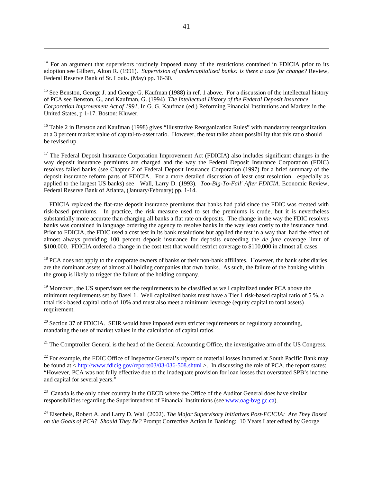$14$  For an argument that supervisors routinely imposed many of the restrictions contained in FDICIA prior to its adoption see Gilbert, Alton R. (1991). *Supervision of undercapitalized banks: is there a case for change?* Review, Federal Reserve Bank of St. Louis. (May) pp. 16-30.

<sup>15</sup> See Benston, George J. and George G. Kaufman (1988) in ref. 1 above. For a discussion of the intellectual history of PCA see Benston, G., and Kaufman, G. (1994) *The Intellectual History of the Federal Deposit Insurance Corporation Improvement Act of 1991*. In G. G. Kaufman (ed.) Reforming Financial Institutions and Markets in the United States, p 1-17. Boston: Kluwer.

<sup>16</sup> Table 2 in Benston and Kaufman (1998) gives "Illustrative Reorganization Rules" with mandatory reorganization at a 3 percent market value of capital-to-asset ratio. However, the text talks about possibility that this ratio should be revised up.

<sup>17</sup> The Federal Deposit Insurance Corporation Improvement Act (FDICIA) also includes significant changes in the way deposit insurance premiums are charged and the way the Federal Deposit Insurance Corporation (FDIC) resolves failed banks (see Chapter 2 of Federal Deposit Insurance Corporation (1997) for a brief summary of the deposit insurance reform parts of FDICIA. For a more detailed discussion of least cost resolution—especially as applied to the largest US banks) see Wall, Larry D. (1993). *Too-Big-To-Fail' After FDICIA*. Economic Review, Federal Reserve Bank of Atlanta, (January/February) pp. 1-14.

 FDICIA replaced the flat-rate deposit insurance premiums that banks had paid since the FDIC was created with risk-based premiums. In practice, the risk measure used to set the premiums is crude, but it is nevertheless substantially more accurate than charging all banks a flat rate on deposits. The change in the way the FDIC resolves banks was contained in language ordering the agency to resolve banks in the way least costly to the insurance fund. Prior to FDICIA, the FDIC used a cost test in its bank resolutions but applied the test in a way that had the effect of almost always providing 100 percent deposit insurance for deposits exceeding the *de jure* coverage limit of \$100,000. FDICIA ordered a change in the cost test that would restrict coverage to \$100,000 in almost all cases.

 $<sup>18</sup> PCA$  does not apply to the corporate owners of banks or their non-bank affiliates. However, the bank subsidiaries</sup> are the dominant assets of almost all holding companies that own banks. As such, the failure of the banking within the group is likely to trigger the failure of the holding company.

<sup>19</sup> Moreover, the US supervisors set the requirements to be classified as well capitalized under PCA above the minimum requirements set by Basel 1. Well capitalized banks must have a Tier 1 risk-based capital ratio of 5 %, a total risk-based capital ratio of 10% and must also meet a minimum leverage (equity capital to total assets) requirement.

 $^{20}$  Section 37 of FDICIA. SEIR would have imposed even stricter requirements on regulatory accounting, mandating the use of market values in the calculation of capital ratios.

 $21$  The Comptroller General is the head of the General Accounting Office, the investigative arm of the US Congress.

 $22$  For example, the FDIC Office of Inspector General's report on material losses incurred at South Pacific Bank may be found at < http://www.fdicig.gov/reports03/03-036-508.shtml >. In discussing the role of PCA, the report states: "However, PCA was not fully effective due to the inadequate provision for loan losses that overstated SPB's income and capital for several years."

 $23$  Canada is the only other country in the OECD where the Office of the Auditor General does have similar responsibilities regarding the Superintendent of Financial Institutions (see www.oag-bvg.gc.ca).

24 Eisenbeis, Robert A. and Larry D. Wall (2002). *The Major Supervisory Initiatives Post-FCICIA: Are They Based on the Goals of PCA? Should They Be?* Prompt Corrective Action in Banking: 10 Years Later edited by George

 $\overline{a}$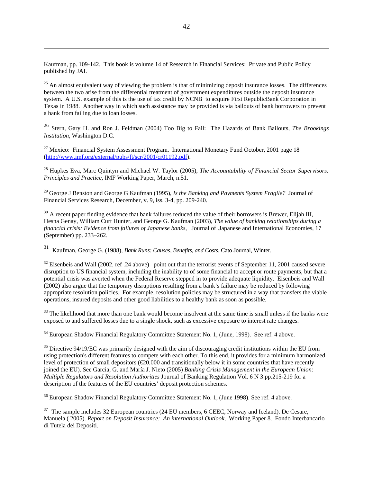Kaufman, pp. 109-142. This book is volume 14 of Research in Financial Services: Private and Public Policy published by JAI.

 $\overline{a}$ 

 $^{25}$  An almost equivalent way of viewing the problem is that of minimizing deposit insurance losses. The differences between the two arise from the differential treatment of government expenditures outside the deposit insurance system. A U.S. example of this is the use of tax credit by NCNB to acquire First RepublicBank Corporation in Texas in 1988. Another way in which such assistance may be provided is via bailouts of bank borrowers to prevent a bank from failing due to loan losses.

<sup>26</sup> Stern, Gary H. and Ron J. Feldman (2004) Too Big to Fail: The Hazards of Bank Bailouts, *The Brookings Institution*, Washington D.C.

 $27$  Mexico: Financial System Assessment Program. International Monetary Fund October, 2001 page 18 (http://www.imf.org/external/pubs/ft/scr/2001/cr01192.pdf).

28 Hupkes Eva, Marc Quintyn and Michael W. Taylor (2005), *The Accountability of Financial Sector Supervisors: Principles and Practice,* IMF Working Paper, March, n.51.

<sup>29</sup> George J Benston and George G Kaufman (1995), *Is the Banking and Payments System Fragile?* Journal of Financial Services Research*,* December, v. 9, iss. 3-4, pp. 209-240.

 $30$  A recent paper finding evidence that bank failures reduced the value of their borrowers is Brewer, Elijah III, Hesna Genay, William Curt Hunter, and George G. Kaufman (2003), *The value of banking relationships during a financial crisis: Evidence from failures of Japanese banks,* Journal of .Japanese and International Economies, 17 (September) pp. 233–262.

<sup>31</sup> Kaufman, George G. (1988), *Bank Runs: Causes, Benefits, and Costs*, Cato Journal, Winter.

 $32$  Eisenbeis and Wall (2002, ref. 24 above) point out that the terrorist events of September 11, 2001 caused severe disruption to US financial system, including the inability to of some financial to accept or route payments, but that a potential crisis was averted when the Federal Reserve stepped in to provide adequate liquidity. Eisenbeis and Wall (2002) also argue that the temporary disruptions resulting from a bank's failure may be reduced by following appropriate resolution policies. For example, resolution policies may be structured in a way that transfers the viable operations, insured deposits and other good liabilities to a healthy bank as soon as possible.

 $33$  The likelihood that more than one bank would become insolvent at the same time is small unless if the banks were exposed to and suffered losses due to a single shock, such as excessive exposure to interest rate changes.

<sup>34</sup> European Shadow Financial Regulatory Committee Statement No. 1, (June, 1998). See ref. 4 above.

<sup>35</sup> Directive 94/19/EC was primarily designed with the aim of discouraging credit institutions within the EU from using protection's different features to compete with each other. To this end, it provides for a minimum harmonized level of protection of small depositors ( $\epsilon$ 20,000 and transitionally below it in some countries that have recently joined the EU). See Garcia, G. and María J. Nieto (2005) *Banking Crisis Management in the European Union: Multiple Regulators and Resolution Authorities* Journal of Banking Regulation Vol. 6 N 3 pp.215-219 for a description of the features of the EU countries' deposit protection schemes.

<sup>36</sup> European Shadow Financial Regulatory Committee Statement No. 1, (June 1998). See ref. 4 above.

<sup>37</sup> The sample includes 32 European countries (24 EU members, 6 CEEC, Norway and Iceland). De Cesare, Manuela ( 2005). *Report on Deposit Insurance: An international Outlook*, Working Paper 8. Fondo Interbancario di Tutela dei Depositi.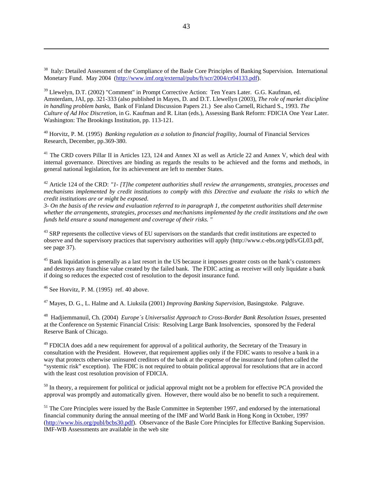<sup>38</sup> Italy: Detailed Assessment of the Compliance of the Basle Core Principles of Banking Supervision. International Monetary Fund. May 2004 (http://www.imf.org/external/pubs/ft/scr/2004/cr04133.pdf).

<sup>39</sup> Llewelyn, D.T. (2002) "Comment" in Prompt Corrective Action: Ten Years Later. G.G. Kaufman, ed. Amsterdam, JAI, pp. 321-333 (also published in Mayes, D. and D.T. Llewellyn (2003), *The role of market discipline in handling problem banks*, Bank of Finland Discussion Papers 21.) See also Carnell, Richard S., 1993. *The Culture of Ad Hoc Discretion*, in G. Kaufman and R. Litan (eds.), Assessing Bank Reform: FDICIA One Year Later. Washington: The Brookings Institution, pp. 113-121.

40 Horvitz, P. M. (1995) *Banking regulation as a solution to financial fragility,* Journal of Financial Services Research, December, pp.369-380.

<sup>41</sup> The CRD covers Pillar II in Articles 123, 124 and Annex XI as well as Article 22 and Annex V, which deal with internal governance. Directives are binding as regards the results to be achieved and the forms and methods, in general national legislation, for its achievement are left to member States.

42 Article 124 of the CRD: *"1- [T]he competent authorities shall review the arrangements, strategies, processes and mechanisms implemented by credit institutions to comply with this Directive and evaluate the risks to which the credit institutions are or might be exposed.* 

*3- On the basis of the review and evaluation referred to in paragraph 1, the competent authorities shall determine whether the arrangements, strategies, processes and mechanisms implemented by the credit institutions and the own funds held ensure a sound management and coverage of their risks. "* 

 $43$  SRP represents the collective views of EU supervisors on the standards that credit institutions are expected to observe and the supervisory practices that supervisory authorities will apply (http://www.c-ebs.org/pdfs/GL03.pdf, see page 37).

<sup>45</sup> Bank liquidation is generally as a last resort in the US because it imposes greater costs on the bank's customers and destroys any franchise value created by the failed bank. The FDIC acting as receiver will only liquidate a bank if doing so reduces the expected cost of resolution to the deposit insurance fund.

 $46$  See Horvitz, P. M. (1995) ref. 40 above.

 $\overline{a}$ 

47 Mayes, D. G., L. Halme and A. Liuksila (2001) *Improving Banking Supervision*, Basingstoke. Palgrave.

48 Hadjiemmanuil, Ch. (2004) *Europe´s Universalist Approach to Cross-Border Bank Resolution Issues,* presented at the Conference on Systemic Financial Crisis: Resolving Large Bank Insolvencies, sponsored by the Federal Reserve Bank of Chicago.

<sup>49</sup> FDICIA does add a new requirement for approval of a political authority, the Secretary of the Treasury in consultation with the President. However, that requirement applies only if the FDIC wants to resolve a bank in a way that protects otherwise uninsured creditors of the bank at the expense of the insurance fund (often called the "systemic risk" exception). The FDIC is not required to obtain political approval for resolutions that are in accord with the least cost resolution provision of FDICIA.

 $50$  In theory, a requirement for political or judicial approval might not be a problem for effective PCA provided the approval was promptly and automatically given. However, there would also be no benefit to such a requirement.

<sup>51</sup> The Core Principles were issued by the Basle Committee in September 1997, and endorsed by the international financial community during the annual meeting of the IMF and World Bank in Hong Kong in October, 1997 (http://www.bis.org/publ/bcbs30.pdf). Observance of the Basle Core Principles for Effective Banking Supervision. IMF-WB Assessments are available in the web site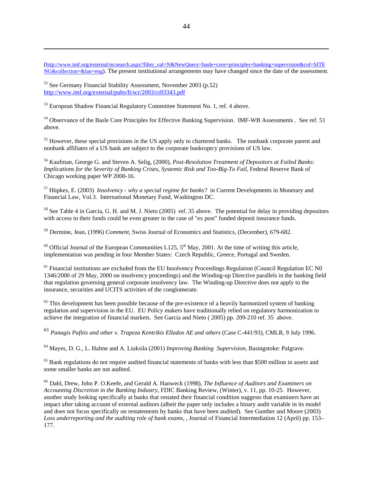(http://www.imf.org/external/ns/search.aspx?filter\_val=N&NewQuery=basle+core+principles+banking+supervision&col=SITE NG&collection=&lan=eng). The present institutional arrangements may have changed since the date of the assessment.

 $52$  See Germany Financial Stability Assessment, November 2003 (p.52) http://www.imf.org/external/pubs/ft/scr/2003/cr03343.pdf

 $\overline{a}$ 

 $53$  European Shadow Financial Regulatory Committee Statement No. 1, ref. 4 above.

<sup>54</sup> Observance of the Basle Core Principles for Effective Banking Supervision. IMF-WB Assessments . See ref. 51 above.

<sup>55</sup> However, these special provisions in the US apply only to chartered banks. The nonbank corporate parent and nonbank affiliates of a US bank are subject to the corporate bankruptcy provisions of US law.

56 Kaufman, George G. and Steven A. Selig, (2000), *Post-Resolution Treatment of Depositors at Failed Banks: Implications for the Severity of Banking Crises, Systemic Risk and Too-Big-To Fail*, Federal Reserve Bank of Chicago working paper WP 2000-16.

57 Hüpkes, E. (2003) *Insolvency - why a special regime for banks?* in Current Developments in Monetary and Financial Law, Vol.3. International Monetary Fund, Washington DC.

<sup>58</sup> See Table 4 in Garcia, G. H. and M. J. Nieto (2005) ref. 35 above. The potential for delay in providing depositors with access to their funds could be even greater in the case of "ex post" funded deposit insurance funds.

<sup>59</sup> Dermine, Jean, (1996) *Comment*, Swiss Journal of Economics and Statistics, (December), 679-682.

<sup>60</sup> Official Journal of the European Communities L125,  $5<sup>th</sup>$  May, 2001. At the time of writing this article, implementation was pending in four Member States: Czech Republic, Greece, Portugal and Sweden.

<sup>61</sup> Financial institutions are excluded from the EU Insolvency Proceedings Regulation (Council Regulation EC N0 1346/2000 of 29 May, 2000 on insolvency proceedings) and the Winding-up Directive parallels in the banking field that regulation governing general corporate insolvency law. The Winding-up Directive does not apply to the insurance, securities and UCITS activities of the conglomerate.

 $62$  This development has been possible because of the pre-existence of a heavily harmonized system of banking regulation and supervision in the EU. EU Policy makers have traditionally relied on regulatory harmonization to achieve the integration of financial markets. See Garcia and Nieto ( 2005) pp. 209-210 ref. 35 above.

<sup>63</sup> *Panagis Pafitis and other v. Trapeza Kentrikis Ellados AE and others* (Case C-441/93), CMLR, 9 July 1996.

64 Mayes, D. G., L. Halme and A. Liuksila (2001) *Improving Banking Supervision*, Basingstoke: Palgrave.

<sup>65</sup> Bank regulations do not require audited financial statements of banks with less than \$500 million in assets and some smaller banks are not audited.

<sup>66</sup> Dahl, Drew, John P. O.Keefe, and Gerald A. Hanweck (1998), *The Influence of Auditors and Examiners on Accounting Discretion in the Banking Industry*, FDIC Banking Review, (Winter), v. 11, pp. 10-25. However, another study looking specifically at banks that restated their financial condition suggests that examiners have an impact after taking account of external auditors (albeit the paper only includes a binary audit variable in its model and does not focus specifically on restatements by banks that have been audited). See Gunther and Moore (2003) *Loss underreporting and the auditing role of bank exams,* , Journal of Financial Intermediation 12 (April) pp. 153– 177.